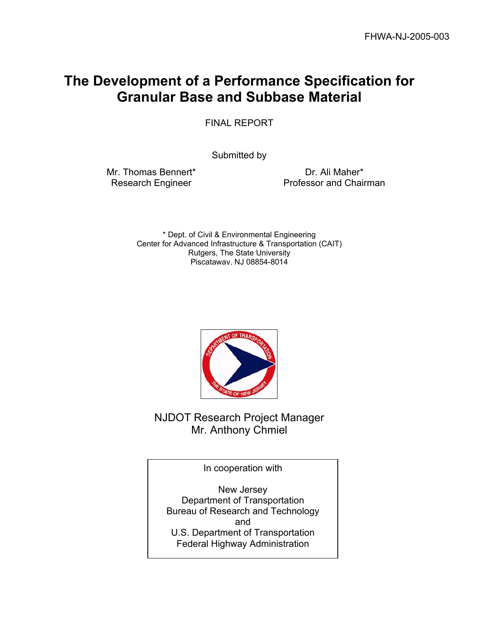# **The Development of a Performance Specification for Granular Base and Subbase Material**

FINAL REPORT

Submitted by

Mr. Thomas Bennert\* Research Engineer

Dr. Ali Maher\* Professor and Chairman

\* Dept. of Civil & Environmental Engineering Center for Advanced Infrastructure & Transportation (CAIT) Rutgers, The State University Piscataway, NJ 08854-8014



NJDOT Research Project Manager Mr. Anthony Chmiel

In cooperation with

New Jersey Department of Transportation Bureau of Research and Technology and U.S. Department of Transportation Federal Highway Administration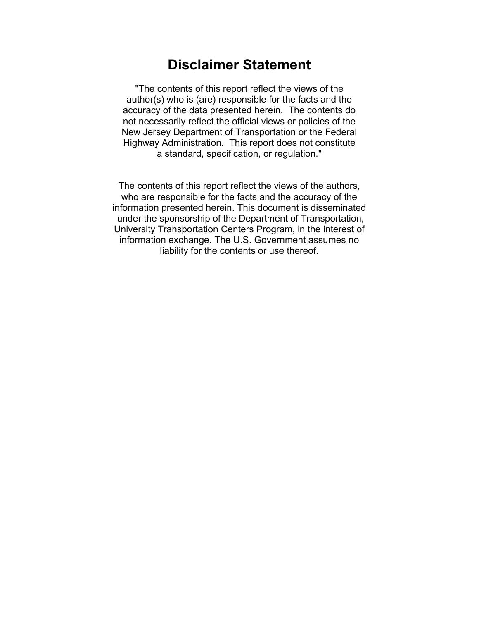# **Disclaimer Statement**

"The contents of this report reflect the views of the author(s) who is (are) responsible for the facts and the accuracy of the data presented herein. The contents do not necessarily reflect the official views or policies of the New Jersey Department of Transportation or the Federal Highway Administration. This report does not constitute a standard, specification, or regulation."

The contents of this report reflect the views of the authors, who are responsible for the facts and the accuracy of the information presented herein. This document is disseminated under the sponsorship of the Department of Transportation, University Transportation Centers Program, in the interest of information exchange. The U.S. Government assumes no liability for the contents or use thereof.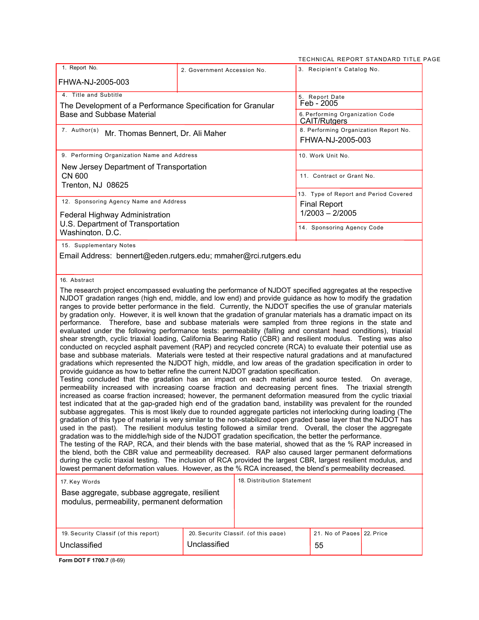<sup>2</sup>AGE

|                                                                                                                                                                                                                                                                                                                                                                                                                                                                                                                                                                                                                                                                                                                                                                                                                                                                                                                                                                                                                                                                                                                                                                                                                                                                                                                                                                                                                                                                                                                                                                                                                                                                                                                                                                                                                                                                                                                                                                                                                                                                                                                                                                                                                                                                                                                                                                                                     |                             |                                               |                                                              | TECHNICAL REPORT STANDARD TITLE P     |
|-----------------------------------------------------------------------------------------------------------------------------------------------------------------------------------------------------------------------------------------------------------------------------------------------------------------------------------------------------------------------------------------------------------------------------------------------------------------------------------------------------------------------------------------------------------------------------------------------------------------------------------------------------------------------------------------------------------------------------------------------------------------------------------------------------------------------------------------------------------------------------------------------------------------------------------------------------------------------------------------------------------------------------------------------------------------------------------------------------------------------------------------------------------------------------------------------------------------------------------------------------------------------------------------------------------------------------------------------------------------------------------------------------------------------------------------------------------------------------------------------------------------------------------------------------------------------------------------------------------------------------------------------------------------------------------------------------------------------------------------------------------------------------------------------------------------------------------------------------------------------------------------------------------------------------------------------------------------------------------------------------------------------------------------------------------------------------------------------------------------------------------------------------------------------------------------------------------------------------------------------------------------------------------------------------------------------------------------------------------------------------------------------------|-----------------------------|-----------------------------------------------|--------------------------------------------------------------|---------------------------------------|
| 1. Report No.                                                                                                                                                                                                                                                                                                                                                                                                                                                                                                                                                                                                                                                                                                                                                                                                                                                                                                                                                                                                                                                                                                                                                                                                                                                                                                                                                                                                                                                                                                                                                                                                                                                                                                                                                                                                                                                                                                                                                                                                                                                                                                                                                                                                                                                                                                                                                                                       | 2. Government Accession No. |                                               | 3. Recipient's Catalog No.                                   |                                       |
| FHWA-NJ-2005-003                                                                                                                                                                                                                                                                                                                                                                                                                                                                                                                                                                                                                                                                                                                                                                                                                                                                                                                                                                                                                                                                                                                                                                                                                                                                                                                                                                                                                                                                                                                                                                                                                                                                                                                                                                                                                                                                                                                                                                                                                                                                                                                                                                                                                                                                                                                                                                                    |                             |                                               |                                                              |                                       |
| 4. Title and Subtitle                                                                                                                                                                                                                                                                                                                                                                                                                                                                                                                                                                                                                                                                                                                                                                                                                                                                                                                                                                                                                                                                                                                                                                                                                                                                                                                                                                                                                                                                                                                                                                                                                                                                                                                                                                                                                                                                                                                                                                                                                                                                                                                                                                                                                                                                                                                                                                               |                             |                                               | 5. Report Date                                               |                                       |
| The Development of a Performance Specification for Granular<br><b>Base and Subbase Material</b>                                                                                                                                                                                                                                                                                                                                                                                                                                                                                                                                                                                                                                                                                                                                                                                                                                                                                                                                                                                                                                                                                                                                                                                                                                                                                                                                                                                                                                                                                                                                                                                                                                                                                                                                                                                                                                                                                                                                                                                                                                                                                                                                                                                                                                                                                                     |                             | Feb - 2005<br>6. Performing Organization Code |                                                              |                                       |
| 7. Author(s)                                                                                                                                                                                                                                                                                                                                                                                                                                                                                                                                                                                                                                                                                                                                                                                                                                                                                                                                                                                                                                                                                                                                                                                                                                                                                                                                                                                                                                                                                                                                                                                                                                                                                                                                                                                                                                                                                                                                                                                                                                                                                                                                                                                                                                                                                                                                                                                        |                             |                                               | <b>CAIT/Rutgers</b><br>8. Performing Organization Report No. |                                       |
| Mr. Thomas Bennert, Dr. Ali Maher                                                                                                                                                                                                                                                                                                                                                                                                                                                                                                                                                                                                                                                                                                                                                                                                                                                                                                                                                                                                                                                                                                                                                                                                                                                                                                                                                                                                                                                                                                                                                                                                                                                                                                                                                                                                                                                                                                                                                                                                                                                                                                                                                                                                                                                                                                                                                                   |                             |                                               | FHWA-NJ-2005-003                                             |                                       |
| 9. Performing Organization Name and Address                                                                                                                                                                                                                                                                                                                                                                                                                                                                                                                                                                                                                                                                                                                                                                                                                                                                                                                                                                                                                                                                                                                                                                                                                                                                                                                                                                                                                                                                                                                                                                                                                                                                                                                                                                                                                                                                                                                                                                                                                                                                                                                                                                                                                                                                                                                                                         |                             |                                               | 10. Work Unit No.                                            |                                       |
| New Jersey Department of Transportation<br><b>CN 600</b>                                                                                                                                                                                                                                                                                                                                                                                                                                                                                                                                                                                                                                                                                                                                                                                                                                                                                                                                                                                                                                                                                                                                                                                                                                                                                                                                                                                                                                                                                                                                                                                                                                                                                                                                                                                                                                                                                                                                                                                                                                                                                                                                                                                                                                                                                                                                            |                             |                                               | 11. Contract or Grant No.                                    |                                       |
| Trenton, NJ 08625                                                                                                                                                                                                                                                                                                                                                                                                                                                                                                                                                                                                                                                                                                                                                                                                                                                                                                                                                                                                                                                                                                                                                                                                                                                                                                                                                                                                                                                                                                                                                                                                                                                                                                                                                                                                                                                                                                                                                                                                                                                                                                                                                                                                                                                                                                                                                                                   |                             |                                               |                                                              |                                       |
| 12. Sponsoring Agency Name and Address                                                                                                                                                                                                                                                                                                                                                                                                                                                                                                                                                                                                                                                                                                                                                                                                                                                                                                                                                                                                                                                                                                                                                                                                                                                                                                                                                                                                                                                                                                                                                                                                                                                                                                                                                                                                                                                                                                                                                                                                                                                                                                                                                                                                                                                                                                                                                              |                             |                                               |                                                              | 13. Type of Report and Period Covered |
|                                                                                                                                                                                                                                                                                                                                                                                                                                                                                                                                                                                                                                                                                                                                                                                                                                                                                                                                                                                                                                                                                                                                                                                                                                                                                                                                                                                                                                                                                                                                                                                                                                                                                                                                                                                                                                                                                                                                                                                                                                                                                                                                                                                                                                                                                                                                                                                                     |                             |                                               | <b>Final Report</b><br>$1/2003 - 2/2005$                     |                                       |
| Federal Highway Administration<br>U.S. Department of Transportation                                                                                                                                                                                                                                                                                                                                                                                                                                                                                                                                                                                                                                                                                                                                                                                                                                                                                                                                                                                                                                                                                                                                                                                                                                                                                                                                                                                                                                                                                                                                                                                                                                                                                                                                                                                                                                                                                                                                                                                                                                                                                                                                                                                                                                                                                                                                 |                             |                                               |                                                              |                                       |
| Washington, D.C.                                                                                                                                                                                                                                                                                                                                                                                                                                                                                                                                                                                                                                                                                                                                                                                                                                                                                                                                                                                                                                                                                                                                                                                                                                                                                                                                                                                                                                                                                                                                                                                                                                                                                                                                                                                                                                                                                                                                                                                                                                                                                                                                                                                                                                                                                                                                                                                    |                             |                                               | 14. Sponsoring Agency Code                                   |                                       |
| 15. Supplementary Notes                                                                                                                                                                                                                                                                                                                                                                                                                                                                                                                                                                                                                                                                                                                                                                                                                                                                                                                                                                                                                                                                                                                                                                                                                                                                                                                                                                                                                                                                                                                                                                                                                                                                                                                                                                                                                                                                                                                                                                                                                                                                                                                                                                                                                                                                                                                                                                             |                             |                                               |                                                              |                                       |
| Email Address: bennert@eden.rutgers.edu; mmaher@rci.rutgers.edu                                                                                                                                                                                                                                                                                                                                                                                                                                                                                                                                                                                                                                                                                                                                                                                                                                                                                                                                                                                                                                                                                                                                                                                                                                                                                                                                                                                                                                                                                                                                                                                                                                                                                                                                                                                                                                                                                                                                                                                                                                                                                                                                                                                                                                                                                                                                     |                             |                                               |                                                              |                                       |
|                                                                                                                                                                                                                                                                                                                                                                                                                                                                                                                                                                                                                                                                                                                                                                                                                                                                                                                                                                                                                                                                                                                                                                                                                                                                                                                                                                                                                                                                                                                                                                                                                                                                                                                                                                                                                                                                                                                                                                                                                                                                                                                                                                                                                                                                                                                                                                                                     |                             |                                               |                                                              |                                       |
| 16. Abstract                                                                                                                                                                                                                                                                                                                                                                                                                                                                                                                                                                                                                                                                                                                                                                                                                                                                                                                                                                                                                                                                                                                                                                                                                                                                                                                                                                                                                                                                                                                                                                                                                                                                                                                                                                                                                                                                                                                                                                                                                                                                                                                                                                                                                                                                                                                                                                                        |                             |                                               |                                                              |                                       |
| ranges to provide better performance in the field. Currently, the NJDOT specifies the use of granular materials<br>by gradation only. However, it is well known that the gradation of granular materials has a dramatic impact on its<br>performance. Therefore, base and subbase materials were sampled from three regions in the state and<br>evaluated under the following performance tests: permeability (falling and constant head conditions), triaxial<br>shear strength, cyclic triaxial loading, California Bearing Ratio (CBR) and resilient modulus. Testing was also<br>conducted on recycled asphalt pavement (RAP) and recycled concrete (RCA) to evaluate their potential use as<br>base and subbase materials. Materials were tested at their respective natural gradations and at manufactured<br>gradations which represented the NJDOT high, middle, and low areas of the gradation specification in order to<br>provide guidance as how to better refine the current NJDOT gradation specification.<br>Testing concluded that the gradation has an impact on each material and source tested.<br>permeability increased with increasing coarse fraction and decreasing percent fines. The triaxial strength<br>increased as coarse fraction increased; however, the permanent deformation measured from the cyclic triaxial<br>test indicated that at the gap-graded high end of the gradation band, instability was prevalent for the rounded<br>subbase aggregates. This is most likely due to rounded aggregate particles not interlocking during loading (The<br>gradation of this type of material is very similar to the non-stabilized open graded base layer that the NJDOT has<br>used in the past). The resilient modulus testing followed a similar trend. Overall, the closer the aggregate<br>gradation was to the middle/high side of the NJDOT gradation specification, the better the performance.<br>The testing of the RAP, RCA, and their blends with the base material, showed that as the % RAP increased in<br>the blend, both the CBR value and permeability decreased. RAP also caused larger permanent deformations<br>during the cyclic triaxial testing. The inclusion of RCA provided the largest CBR, largest resilient modulus, and<br>lowest permanent deformation values. However, as the % RCA increased, the blend's permeability decreased. |                             |                                               |                                                              | On average,                           |
| 17. Key Words                                                                                                                                                                                                                                                                                                                                                                                                                                                                                                                                                                                                                                                                                                                                                                                                                                                                                                                                                                                                                                                                                                                                                                                                                                                                                                                                                                                                                                                                                                                                                                                                                                                                                                                                                                                                                                                                                                                                                                                                                                                                                                                                                                                                                                                                                                                                                                                       | 18. Distribution Statement  |                                               |                                                              |                                       |
| Base aggregate, subbase aggregate, resilient                                                                                                                                                                                                                                                                                                                                                                                                                                                                                                                                                                                                                                                                                                                                                                                                                                                                                                                                                                                                                                                                                                                                                                                                                                                                                                                                                                                                                                                                                                                                                                                                                                                                                                                                                                                                                                                                                                                                                                                                                                                                                                                                                                                                                                                                                                                                                        |                             |                                               |                                                              |                                       |
| modulus, permeability, permanent deformation                                                                                                                                                                                                                                                                                                                                                                                                                                                                                                                                                                                                                                                                                                                                                                                                                                                                                                                                                                                                                                                                                                                                                                                                                                                                                                                                                                                                                                                                                                                                                                                                                                                                                                                                                                                                                                                                                                                                                                                                                                                                                                                                                                                                                                                                                                                                                        |                             |                                               |                                                              |                                       |
| 19. Security Classif (of this report)                                                                                                                                                                                                                                                                                                                                                                                                                                                                                                                                                                                                                                                                                                                                                                                                                                                                                                                                                                                                                                                                                                                                                                                                                                                                                                                                                                                                                                                                                                                                                                                                                                                                                                                                                                                                                                                                                                                                                                                                                                                                                                                                                                                                                                                                                                                                                               |                             | 20. Security Classif. (of this page)          | 21. No of Pages 22. Price                                    |                                       |
| Unclassified                                                                                                                                                                                                                                                                                                                                                                                                                                                                                                                                                                                                                                                                                                                                                                                                                                                                                                                                                                                                                                                                                                                                                                                                                                                                                                                                                                                                                                                                                                                                                                                                                                                                                                                                                                                                                                                                                                                                                                                                                                                                                                                                                                                                                                                                                                                                                                                        | Unclassified                |                                               | 55                                                           |                                       |

**Form DOT F 1700.7** (8-69)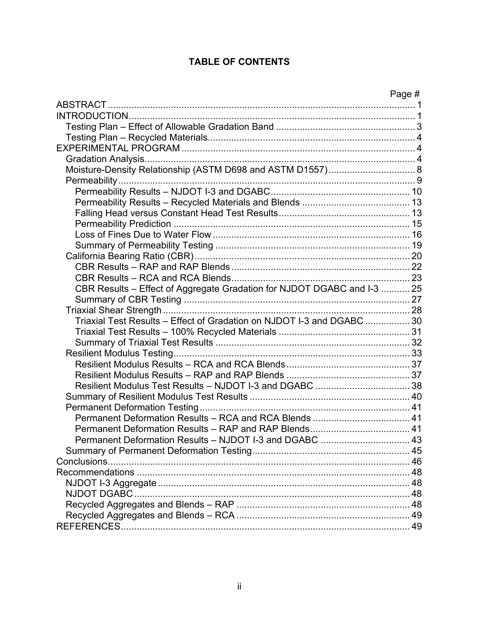# **TABLE OF CONTENTS**

|                                                                         | Page # |
|-------------------------------------------------------------------------|--------|
|                                                                         |        |
|                                                                         |        |
|                                                                         |        |
|                                                                         |        |
|                                                                         |        |
|                                                                         |        |
|                                                                         |        |
|                                                                         |        |
|                                                                         |        |
|                                                                         |        |
|                                                                         |        |
|                                                                         |        |
|                                                                         |        |
|                                                                         |        |
|                                                                         |        |
|                                                                         |        |
|                                                                         |        |
| CBR Results - Effect of Aggregate Gradation for NJDOT DGABC and I-3  25 |        |
|                                                                         |        |
|                                                                         |        |
| Triaxial Test Results - Effect of Gradation on NJDOT I-3 and DGABC  30  |        |
|                                                                         |        |
|                                                                         |        |
|                                                                         |        |
|                                                                         |        |
|                                                                         |        |
|                                                                         |        |
|                                                                         |        |
|                                                                         |        |
| Permanent Deformation Results - RCA and RCA Blends  41                  |        |
|                                                                         |        |
|                                                                         |        |
|                                                                         |        |
|                                                                         |        |
|                                                                         |        |
|                                                                         |        |
|                                                                         |        |
|                                                                         |        |
|                                                                         |        |
|                                                                         |        |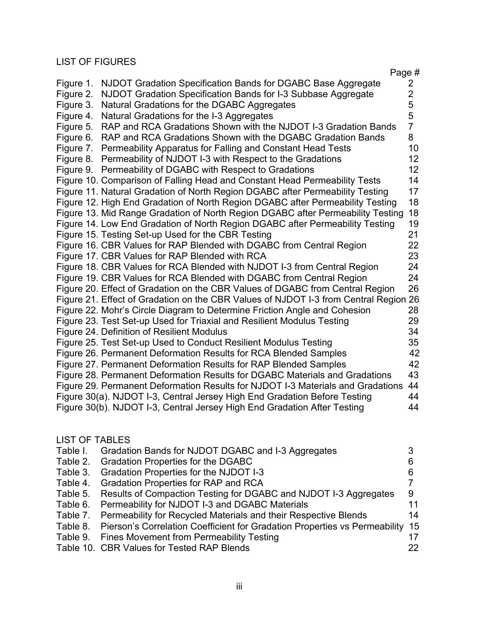# LIST OF FIGURES

|           | Page #                                                                               |                 |
|-----------|--------------------------------------------------------------------------------------|-----------------|
| Figure 1. | NJDOT Gradation Specification Bands for DGABC Base Aggregate                         | $\overline{2}$  |
| Figure 2. | NJDOT Gradation Specification Bands for I-3 Subbase Aggregate                        | $\overline{2}$  |
| Figure 3. | Natural Gradations for the DGABC Aggregates                                          | 5               |
| Figure 4. | Natural Gradations for the I-3 Aggregates                                            | 5               |
| Figure 5. | RAP and RCA Gradations Shown with the NJDOT I-3 Gradation Bands                      | $\overline{7}$  |
| Figure 6. | RAP and RCA Gradations Shown with the DGABC Gradation Bands                          | 8               |
| Figure 7. | Permeability Apparatus for Falling and Constant Head Tests                           | 10              |
|           | Figure 8. Permeability of NJDOT I-3 with Respect to the Gradations                   | 12              |
|           | Figure 9. Permeability of DGABC with Respect to Gradations                           | 12 <sup>2</sup> |
|           | Figure 10. Comparison of Falling Head and Constant Head Permeability Tests           | 14              |
|           | Figure 11. Natural Gradation of North Region DGABC after Permeability Testing        | 17              |
|           | Figure 12. High End Gradation of North Region DGABC after Permeability Testing       | 18              |
|           | Figure 13. Mid Range Gradation of North Region DGABC after Permeability Testing      | 18              |
|           | Figure 14. Low End Gradation of North Region DGABC after Permeability Testing        | 19              |
|           | Figure 15. Testing Set-up Used for the CBR Testing                                   | 21              |
|           | Figure 16. CBR Values for RAP Blended with DGABC from Central Region                 | 22              |
|           | Figure 17. CBR Values for RAP Blended with RCA                                       | 23              |
|           | Figure 18. CBR Values for RCA Blended with NJDOT I-3 from Central Region             | 24              |
|           | Figure 19. CBR Values for RCA Blended with DGABC from Central Region                 | 24              |
|           | Figure 20. Effect of Gradation on the CBR Values of DGABC from Central Region        | 26              |
|           | Figure 21. Effect of Gradation on the CBR Values of NJDOT I-3 from Central Region 26 |                 |
|           | Figure 22. Mohr's Circle Diagram to Determine Friction Angle and Cohesion            | 28              |
|           | Figure 23. Test Set-up Used for Triaxial and Resilient Modulus Testing               | 29              |
|           | Figure 24. Definition of Resilient Modulus                                           | 34              |
|           | Figure 25. Test Set-up Used to Conduct Resilient Modulus Testing                     | 35              |
|           | Figure 26. Permanent Deformation Results for RCA Blended Samples                     | 42              |
|           | Figure 27. Permanent Deformation Results for RAP Blended Samples                     | 42              |
|           | Figure 28. Permanent Deformation Results for DGABC Materials and Gradations          | 43              |
|           | Figure 29. Permanent Deformation Results for NJDOT I-3 Materials and Gradations      | 44              |
|           | Figure 30(a). NJDOT I-3, Central Jersey High End Gradation Before Testing            | 44              |
|           | Figure 30(b). NJDOT I-3, Central Jersey High End Gradation After Testing             | 44              |
|           |                                                                                      |                 |

# LIST OF TABLES

| Table I. | Gradation Bands for NJDOT DGABC and I-3 Aggregates                                  |    |
|----------|-------------------------------------------------------------------------------------|----|
|          | Table 2. Gradation Properties for the DGABC                                         | 6  |
| Table 3. | Gradation Properties for the NJDOT I-3                                              | 6  |
| Table 4. | <b>Gradation Properties for RAP and RCA</b>                                         |    |
|          | Table 5. Results of Compaction Testing for DGABC and NJDOT I-3 Aggregates           | 9  |
| Table 6. | Permeability for NJDOT I-3 and DGABC Materials                                      | 11 |
| Table 7. | Permeability for Recycled Materials and their Respective Blends                     | 14 |
|          | Table 8. Pierson's Correlation Coefficient for Gradation Properties vs Permeability | 15 |
|          | Table 9. Fines Movement from Permeability Testing                                   | 17 |
|          | Table 10. CBR Values for Tested RAP Blends                                          | 22 |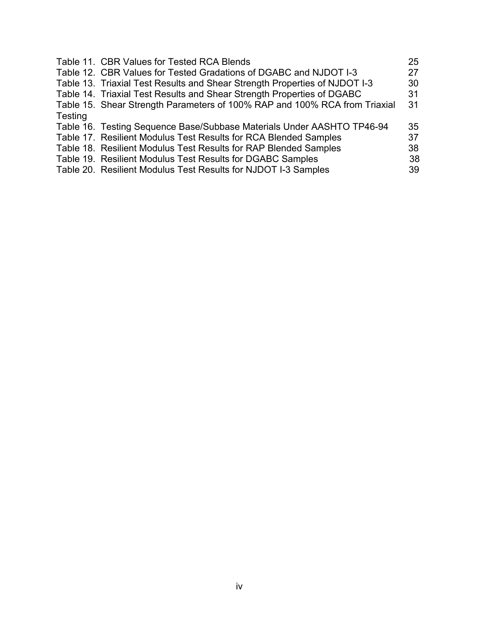|         | Table 11. CBR Values for Tested RCA Blends                                 | 25 |
|---------|----------------------------------------------------------------------------|----|
|         | Table 12. CBR Values for Tested Gradations of DGABC and NJDOT I-3          | 27 |
|         | Table 13. Triaxial Test Results and Shear Strength Properties of NJDOT I-3 | 30 |
|         | Table 14. Triaxial Test Results and Shear Strength Properties of DGABC     | 31 |
|         | Table 15. Shear Strength Parameters of 100% RAP and 100% RCA from Triaxial | 31 |
| Testing |                                                                            |    |
|         | Table 16. Testing Sequence Base/Subbase Materials Under AASHTO TP46-94     | 35 |
|         | Table 17. Resilient Modulus Test Results for RCA Blended Samples           | 37 |
|         | Table 18. Resilient Modulus Test Results for RAP Blended Samples           | 38 |
|         | Table 19. Resilient Modulus Test Results for DGABC Samples                 | 38 |
|         | Table 20. Resilient Modulus Test Results for NJDOT I-3 Samples             | 39 |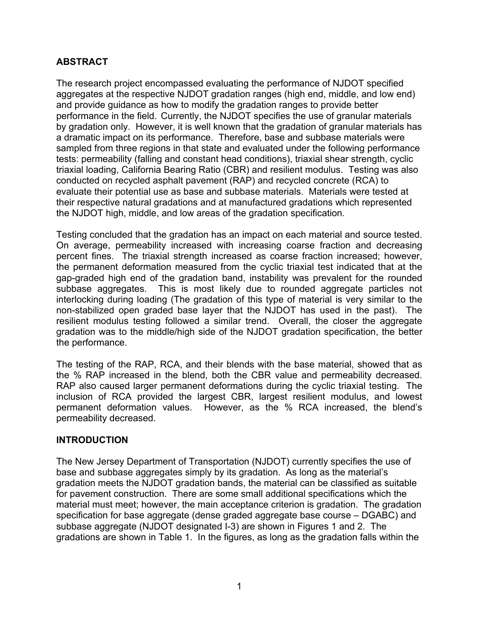# **ABSTRACT**

The research project encompassed evaluating the performance of NJDOT specified aggregates at the respective NJDOT gradation ranges (high end, middle, and low end) and provide guidance as how to modify the gradation ranges to provide better performance in the field. Currently, the NJDOT specifies the use of granular materials by gradation only. However, it is well known that the gradation of granular materials has a dramatic impact on its performance. Therefore, base and subbase materials were sampled from three regions in that state and evaluated under the following performance tests: permeability (falling and constant head conditions), triaxial shear strength, cyclic triaxial loading, California Bearing Ratio (CBR) and resilient modulus. Testing was also conducted on recycled asphalt pavement (RAP) and recycled concrete (RCA) to evaluate their potential use as base and subbase materials. Materials were tested at their respective natural gradations and at manufactured gradations which represented the NJDOT high, middle, and low areas of the gradation specification.

Testing concluded that the gradation has an impact on each material and source tested. On average, permeability increased with increasing coarse fraction and decreasing percent fines. The triaxial strength increased as coarse fraction increased; however, the permanent deformation measured from the cyclic triaxial test indicated that at the gap-graded high end of the gradation band, instability was prevalent for the rounded subbase aggregates. This is most likely due to rounded aggregate particles not interlocking during loading (The gradation of this type of material is very similar to the non-stabilized open graded base layer that the NJDOT has used in the past). The resilient modulus testing followed a similar trend. Overall, the closer the aggregate gradation was to the middle/high side of the NJDOT gradation specification, the better the performance.

The testing of the RAP, RCA, and their blends with the base material, showed that as the % RAP increased in the blend, both the CBR value and permeability decreased. RAP also caused larger permanent deformations during the cyclic triaxial testing. The inclusion of RCA provided the largest CBR, largest resilient modulus, and lowest permanent deformation values. However, as the % RCA increased, the blend's permeability decreased.

### **INTRODUCTION**

The New Jersey Department of Transportation (NJDOT) currently specifies the use of base and subbase aggregates simply by its gradation. As long as the material's gradation meets the NJDOT gradation bands, the material can be classified as suitable for pavement construction. There are some small additional specifications which the material must meet; however, the main acceptance criterion is gradation. The gradation specification for base aggregate (dense graded aggregate base course – DGABC) and subbase aggregate (NJDOT designated I-3) are shown in Figures 1 and 2. The gradations are shown in Table 1. In the figures, as long as the gradation falls within the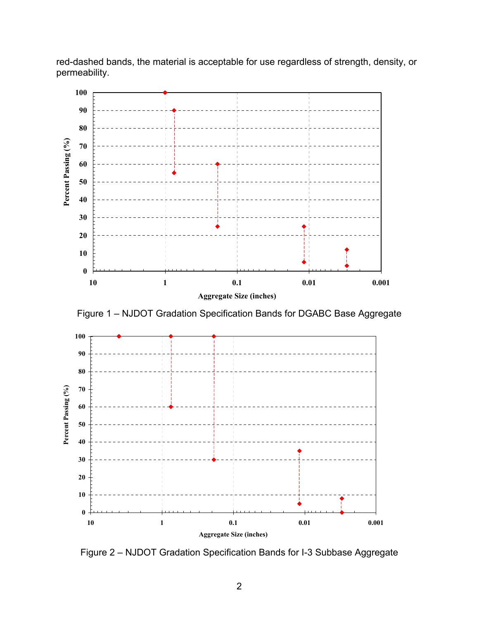red-dashed bands, the material is acceptable for use regardless of strength, density, or permeability.



Figure 2 – NJDOT Gradation Specification Bands for I-3 Subbase Aggregate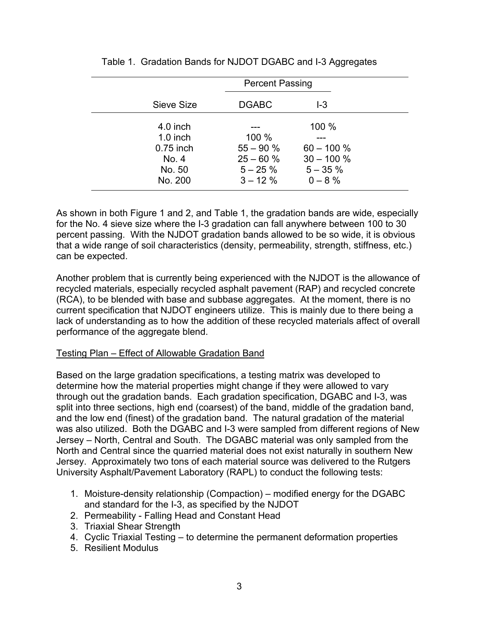|             | <b>Percent Passing</b> |              |  |  |
|-------------|------------------------|--------------|--|--|
| Sieve Size  | <b>DGABC</b>           | $-3$         |  |  |
| $4.0$ inch  |                        | 100 %        |  |  |
| $1.0$ inch  | 100 %                  |              |  |  |
| $0.75$ inch | $55 - 90%$             | $60 - 100 %$ |  |  |
| No. 4       | $25 - 60%$             | $30 - 100 %$ |  |  |
| No. 50      | $5 - 25 \%$            | $5 - 35 \%$  |  |  |
| No. 200     | $3 - 12 \%$            | $0 - 8 \%$   |  |  |

As shown in both Figure 1 and 2, and Table 1, the gradation bands are wide, especially for the No. 4 sieve size where the I-3 gradation can fall anywhere between 100 to 30 percent passing. With the NJDOT gradation bands allowed to be so wide, it is obvious that a wide range of soil characteristics (density, permeability, strength, stiffness, etc.) can be expected.

Another problem that is currently being experienced with the NJDOT is the allowance of recycled materials, especially recycled asphalt pavement (RAP) and recycled concrete (RCA), to be blended with base and subbase aggregates. At the moment, there is no current specification that NJDOT engineers utilize. This is mainly due to there being a lack of understanding as to how the addition of these recycled materials affect of overall performance of the aggregate blend.

### Testing Plan – Effect of Allowable Gradation Band

Based on the large gradation specifications, a testing matrix was developed to determine how the material properties might change if they were allowed to vary through out the gradation bands. Each gradation specification, DGABC and I-3, was split into three sections, high end (coarsest) of the band, middle of the gradation band, and the low end (finest) of the gradation band. The natural gradation of the material was also utilized. Both the DGABC and I-3 were sampled from different regions of New Jersey – North, Central and South. The DGABC material was only sampled from the North and Central since the quarried material does not exist naturally in southern New Jersey. Approximately two tons of each material source was delivered to the Rutgers University Asphalt/Pavement Laboratory (RAPL) to conduct the following tests:

- 1. Moisture-density relationship (Compaction) modified energy for the DGABC and standard for the I-3, as specified by the NJDOT
- 2. Permeability Falling Head and Constant Head
- 3. Triaxial Shear Strength
- 4. Cyclic Triaxial Testing to determine the permanent deformation properties
- 5. Resilient Modulus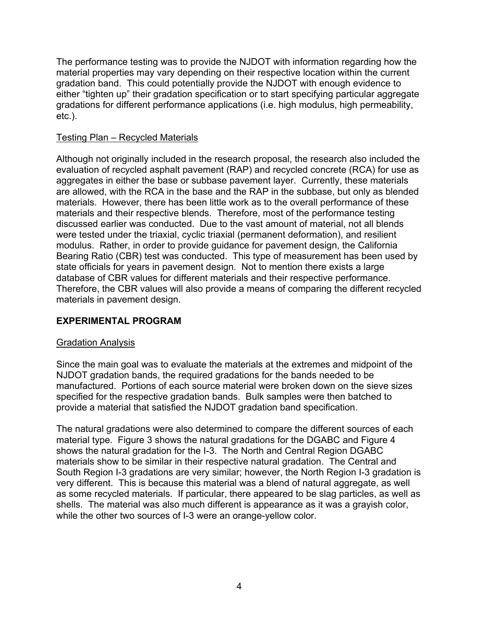The performance testing was to provide the NJDOT with information regarding how the material properties may vary depending on their respective location within the current gradation band. This could potentially provide the NJDOT with enough evidence to either "tighten up" their gradation specification or to start specifying particular aggregate gradations for different performance applications (i.e. high modulus, high permeability, etc.).

### Testing Plan – Recycled Materials

Although not originally included in the research proposal, the research also included the evaluation of recycled asphalt pavement (RAP) and recycled concrete (RCA) for use as aggregates in either the base or subbase pavement layer. Currently, these materials are allowed, with the RCA in the base and the RAP in the subbase, but only as blended materials. However, there has been little work as to the overall performance of these materials and their respective blends. Therefore, most of the performance testing discussed earlier was conducted. Due to the vast amount of material, not all blends were tested under the triaxial, cyclic triaxial (permanent deformation), and resilient modulus. Rather, in order to provide guidance for pavement design, the California Bearing Ratio (CBR) test was conducted. This type of measurement has been used by state officials for years in pavement design. Not to mention there exists a large database of CBR values for different materials and their respective performance. Therefore, the CBR values will also provide a means of comparing the different recycled materials in pavement design.

# **EXPERIMENTAL PROGRAM**

### Gradation Analysis

Since the main goal was to evaluate the materials at the extremes and midpoint of the NJDOT gradation bands, the required gradations for the bands needed to be manufactured. Portions of each source material were broken down on the sieve sizes specified for the respective gradation bands. Bulk samples were then batched to provide a material that satisfied the NJDOT gradation band specification.

The natural gradations were also determined to compare the different sources of each material type. Figure 3 shows the natural gradations for the DGABC and Figure 4 shows the natural gradation for the I-3. The North and Central Region DGABC materials show to be similar in their respective natural gradation. The Central and South Region I-3 gradations are very similar; however, the North Region I-3 gradation is very different. This is because this material was a blend of natural aggregate, as well as some recycled materials. If particular, there appeared to be slag particles, as well as shells. The material was also much different is appearance as it was a grayish color, while the other two sources of I-3 were an orange-yellow color.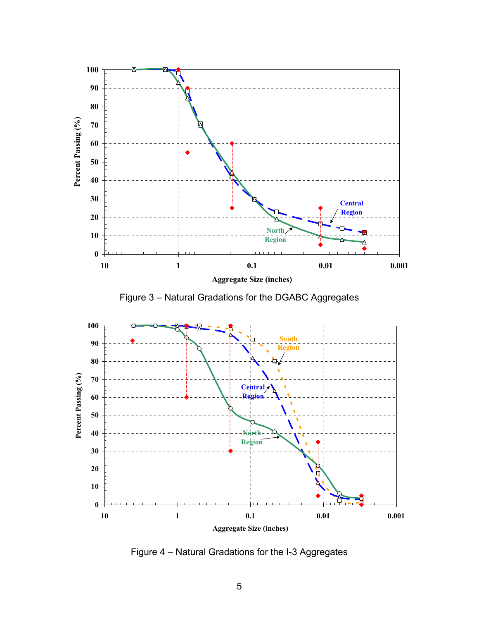

Figure 4 – Natural Gradations for the I-3 Aggregates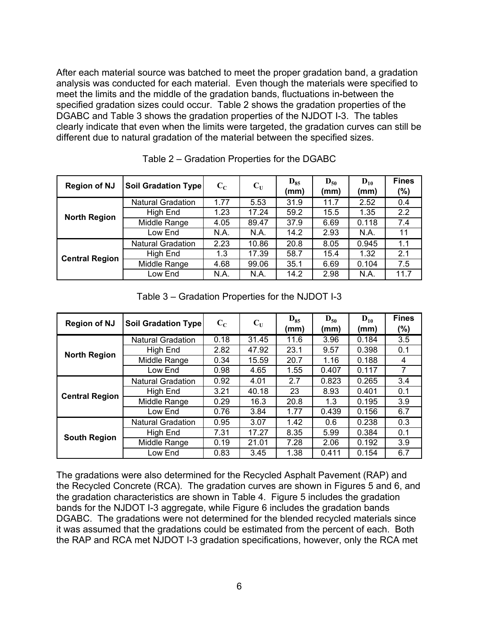After each material source was batched to meet the proper gradation band, a gradation analysis was conducted for each material. Even though the materials were specified to meet the limits and the middle of the gradation bands, fluctuations in-between the specified gradation sizes could occur. Table 2 shows the gradation properties of the DGABC and Table 3 shows the gradation properties of the NJDOT I-3. The tables clearly indicate that even when the limits were targeted, the gradation curves can still be different due to natural gradation of the material between the specified sizes.

| <b>Region of NJ</b>   | Soil Gradation Type      | $\mathbf{C}_{\mathbf{C}}$ | $\mathbf{C}_{\mathbf{U}}$ | $D_{85}$<br>(mm) | $D_{50}$<br>(mm) | $D_{10}$<br>(mm) | <b>Fines</b><br>$(\%)$ |
|-----------------------|--------------------------|---------------------------|---------------------------|------------------|------------------|------------------|------------------------|
|                       | <b>Natural Gradation</b> | 1.77                      | 5.53                      | 31.9             | 11.7             | 2.52             | 0.4                    |
| <b>North Region</b>   | High End                 | 1.23                      | 17.24                     | 59.2             | 15.5             | 1.35             | 2.2                    |
|                       | Middle Range             | 4.05                      | 89.47                     | 37.9             | 6.69             | 0.118            | 7.4                    |
|                       | Low End                  | N.A.                      | N.A.                      | 14.2             | 2.93             | N.A.             | 11                     |
|                       | <b>Natural Gradation</b> | 2.23                      | 10.86                     | 20.8             | 8.05             | 0.945            | 1.1                    |
| <b>Central Region</b> | High End                 | 1.3                       | 17.39                     | 58.7             | 15.4             | 1.32             | 2.1                    |
|                       | Middle Range             | 4.68                      | 99.06                     | 35.1             | 6.69             | 0.104            | 7.5                    |
|                       | Low End                  | N.A.                      | N.A.                      | 14.2             | 2.98             | N.A.             | 11.7                   |

Table 2 – Gradation Properties for the DGABC

Table 3 – Gradation Properties for the NJDOT I-3

| <b>Region of NJ</b>   | <b>Soil Gradation Type</b> | $\mathbf{C}_{\mathbf{C}}$ | $\mathbf{C}_{\mathbf{U}}$ | $D_{85}$<br>(mm) | $D_{50}$<br>(mm) | $D_{10}$<br>(mm) | <b>Fines</b><br>$(\%)$ |
|-----------------------|----------------------------|---------------------------|---------------------------|------------------|------------------|------------------|------------------------|
|                       | <b>Natural Gradation</b>   | 0.18                      | 31.45                     | 11.6             | 3.96             | 0.184            | 3.5                    |
| <b>North Region</b>   | <b>High End</b>            | 2.82                      | 47.92                     | 23.1             | 9.57             | 0.398            | 0.1                    |
|                       | Middle Range               | 0.34                      | 15.59                     | 20.7             | 1.16             | 0.188            | 4                      |
|                       | Low End                    | 0.98                      | 4.65                      | 1.55             | 0.407            | 0.117            | 7                      |
| <b>Central Region</b> | <b>Natural Gradation</b>   | 0.92                      | 4.01                      | 2.7              | 0.823            | 0.265            | 3.4                    |
|                       | High End                   | 3.21                      | 40.18                     | 23               | 8.93             | 0.401            | 0.1                    |
|                       | Middle Range               | 0.29                      | 16.3                      | 20.8             | 1.3              | 0.195            | 3.9                    |
|                       | Low End                    | 0.76                      | 3.84                      | 1.77             | 0.439            | 0.156            | 6.7                    |
|                       | <b>Natural Gradation</b>   | 0.95                      | 3.07                      | 1.42             | 0.6              | 0.238            | 0.3                    |
| <b>South Region</b>   | High End                   | 7.31                      | 17.27                     | 8.35             | 5.99             | 0.384            | 0.1                    |
|                       | Middle Range               | 0.19                      | 21.01                     | 7.28             | 2.06             | 0.192            | 3.9                    |
|                       | Low End                    | 0.83                      | 3.45                      | 1.38             | 0.411            | 0.154            | 6.7                    |

The gradations were also determined for the Recycled Asphalt Pavement (RAP) and the Recycled Concrete (RCA). The gradation curves are shown in Figures 5 and 6, and the gradation characteristics are shown in Table 4. Figure 5 includes the gradation bands for the NJDOT I-3 aggregate, while Figure 6 includes the gradation bands DGABC. The gradations were not determined for the blended recycled materials since it was assumed that the gradations could be estimated from the percent of each. Both the RAP and RCA met NJDOT I-3 gradation specifications, however, only the RCA met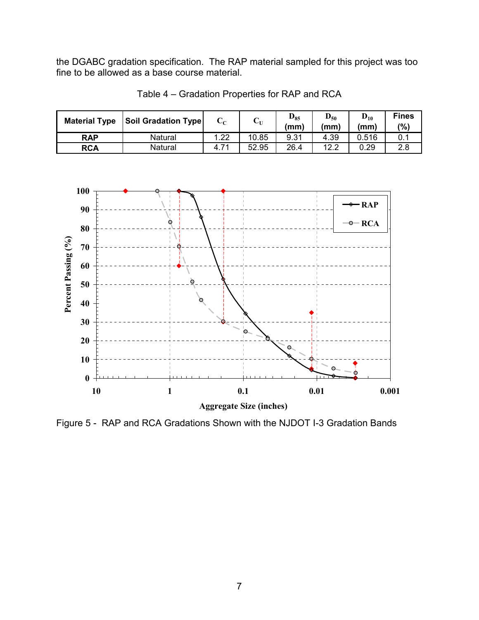the DGABC gradation specification. The RAP material sampled for this project was too fine to be allowed as a base course material.



Table 4 – Gradation Properties for RAP and RCA



Figure 5 - RAP and RCA Gradations Shown with the NJDOT I-3 Gradation Bands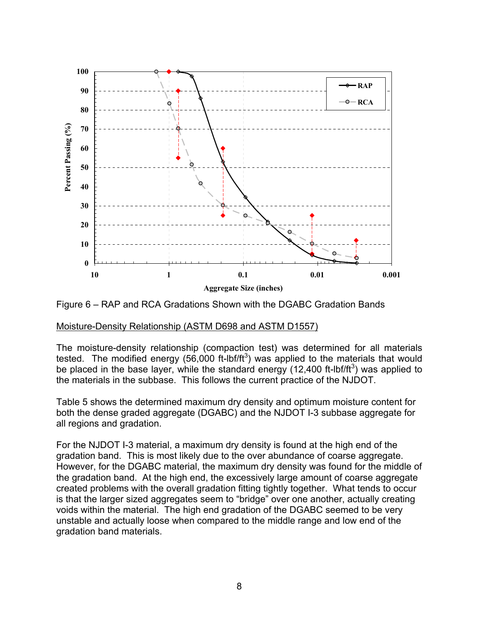

Figure 6 – RAP and RCA Gradations Shown with the DGABC Gradation Bands

### Moisture-Density Relationship (ASTM D698 and ASTM D1557)

The moisture-density relationship (compaction test) was determined for all materials tested. The modified energy (56,000 ft-lbf/ft<sup>3</sup>) was applied to the materials that would be placed in the base layer, while the standard energy (12,400 ft-lbf/ft<sup>3</sup>) was applied to the materials in the subbase. This follows the current practice of the NJDOT.

Table 5 shows the determined maximum dry density and optimum moisture content for both the dense graded aggregate (DGABC) and the NJDOT I-3 subbase aggregate for all regions and gradation.

For the NJDOT I-3 material, a maximum dry density is found at the high end of the gradation band. This is most likely due to the over abundance of coarse aggregate. However, for the DGABC material, the maximum dry density was found for the middle of the gradation band. At the high end, the excessively large amount of coarse aggregate created problems with the overall gradation fitting tightly together. What tends to occur is that the larger sized aggregates seem to "bridge" over one another, actually creating voids within the material. The high end gradation of the DGABC seemed to be very unstable and actually loose when compared to the middle range and low end of the gradation band materials.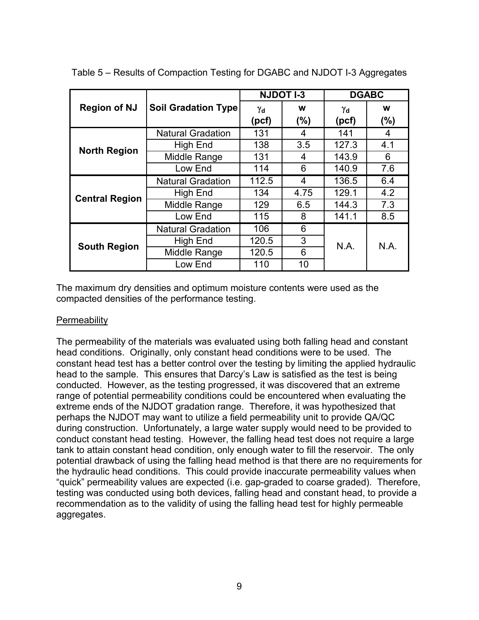|                       |                            | <b>NJDOT I-3</b> |          |             | <b>DGABC</b> |  |
|-----------------------|----------------------------|------------------|----------|-------------|--------------|--|
| <b>Region of NJ</b>   | <b>Soil Gradation Type</b> | Υd<br>(pcf)      | w<br>(%) | Υd<br>(pcf) | W<br>(%)     |  |
|                       | <b>Natural Gradation</b>   | 131              | 4        | 141         | 4            |  |
|                       | High End                   | 138              | 3.5      | 127.3       | 4.1          |  |
| <b>North Region</b>   | Middle Range               | 131              | 4        | 143.9       | 6            |  |
|                       | Low End                    | 114              | 6        | 140.9       | 7.6          |  |
|                       | <b>Natural Gradation</b>   | 112.5            | 4        | 136.5       | 6.4          |  |
| <b>Central Region</b> | High End                   | 134              | 4.75     | 129.1       | 4.2          |  |
|                       | Middle Range               | 129              | 6.5      | 144.3       | 7.3          |  |
|                       | Low End                    | 115              | 8        | 141.1       | 8.5          |  |
|                       | <b>Natural Gradation</b>   | 106              | 6        |             |              |  |
| <b>South Region</b>   | High End                   | 120.5            | 3        | N.A.        | N.A.         |  |
|                       | Middle Range               | 120.5            | 6        |             |              |  |
|                       | Low End                    | 110              | 10       |             |              |  |

Table 5 – Results of Compaction Testing for DGABC and NJDOT I-3 Aggregates

The maximum dry densities and optimum moisture contents were used as the compacted densities of the performance testing.

### **Permeability**

The permeability of the materials was evaluated using both falling head and constant head conditions. Originally, only constant head conditions were to be used. The constant head test has a better control over the testing by limiting the applied hydraulic head to the sample. This ensures that Darcy's Law is satisfied as the test is being conducted. However, as the testing progressed, it was discovered that an extreme range of potential permeability conditions could be encountered when evaluating the extreme ends of the NJDOT gradation range. Therefore, it was hypothesized that perhaps the NJDOT may want to utilize a field permeability unit to provide QA/QC during construction. Unfortunately, a large water supply would need to be provided to conduct constant head testing. However, the falling head test does not require a large tank to attain constant head condition, only enough water to fill the reservoir. The only potential drawback of using the falling head method is that there are no requirements for the hydraulic head conditions. This could provide inaccurate permeability values when "quick" permeability values are expected (i.e. gap-graded to coarse graded). Therefore, testing was conducted using both devices, falling head and constant head, to provide a recommendation as to the validity of using the falling head test for highly permeable aggregates.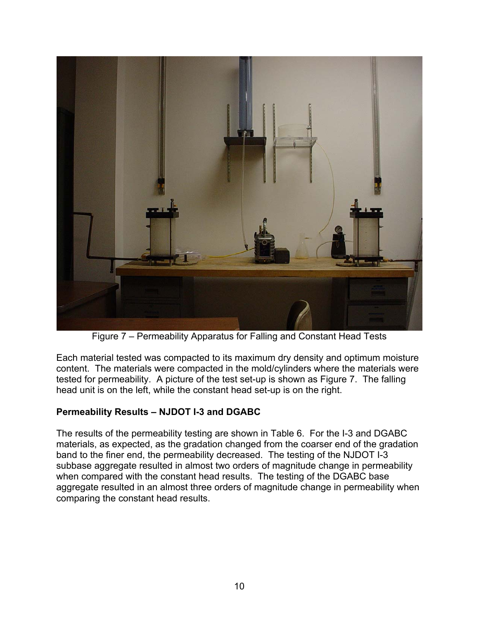

Figure 7 – Permeability Apparatus for Falling and Constant Head Tests

Each material tested was compacted to its maximum dry density and optimum moisture content. The materials were compacted in the mold/cylinders where the materials were tested for permeability. A picture of the test set-up is shown as Figure 7. The falling head unit is on the left, while the constant head set-up is on the right.

# **Permeability Results – NJDOT I-3 and DGABC**

The results of the permeability testing are shown in Table 6. For the I-3 and DGABC materials, as expected, as the gradation changed from the coarser end of the gradation band to the finer end, the permeability decreased. The testing of the NJDOT I-3 subbase aggregate resulted in almost two orders of magnitude change in permeability when compared with the constant head results. The testing of the DGABC base aggregate resulted in an almost three orders of magnitude change in permeability when comparing the constant head results.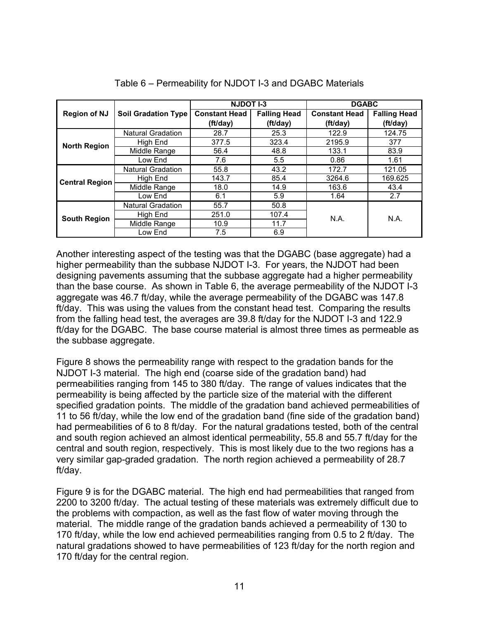|                       |                            | <b>NJDOT I-3</b>                 |                                 | <b>DGABC</b>                     |                                 |
|-----------------------|----------------------------|----------------------------------|---------------------------------|----------------------------------|---------------------------------|
| <b>Region of NJ</b>   | <b>Soil Gradation Type</b> | <b>Constant Head</b><br>(ft/day) | <b>Falling Head</b><br>(ft/day) | <b>Constant Head</b><br>(ft/day) | <b>Falling Head</b><br>(ft/day) |
|                       | <b>Natural Gradation</b>   | 28.7                             | 25.3                            | 122.9                            | 124.75                          |
| <b>North Region</b>   | High End                   | 377.5                            | 323.4                           | 2195.9                           | 377                             |
|                       | Middle Range               | 56.4                             | 48.8                            | 133.1                            | 83.9                            |
|                       | Low End                    | 7.6                              | 5.5                             | 0.86                             | 1.61                            |
|                       | <b>Natural Gradation</b>   | 55.8                             | 43.2                            | 172.7                            | 121.05                          |
| <b>Central Region</b> | High End                   | 143.7                            | 85.4                            | 3264.6                           | 169.625                         |
|                       | Middle Range               | 18.0                             | 14.9                            | 163.6                            | 43.4                            |
|                       | Low End                    | 6.1                              | 5.9                             | 1.64                             | 2.7                             |
|                       | <b>Natural Gradation</b>   | 55.7                             | 50.8                            |                                  |                                 |
| <b>South Region</b>   | High End                   | 251.0                            | 107.4                           | N.A.                             | N.A.                            |
|                       | Middle Range               | 10.9                             | 11.7                            |                                  |                                 |
|                       | Low End                    | 7.5                              | 6.9                             |                                  |                                 |

Table 6 – Permeability for NJDOT I-3 and DGABC Materials

Another interesting aspect of the testing was that the DGABC (base aggregate) had a higher permeability than the subbase NJDOT I-3. For years, the NJDOT had been designing pavements assuming that the subbase aggregate had a higher permeability than the base course. As shown in Table 6, the average permeability of the NJDOT I-3 aggregate was 46.7 ft/day, while the average permeability of the DGABC was 147.8 ft/day. This was using the values from the constant head test. Comparing the results from the falling head test, the averages are 39.8 ft/day for the NJDOT I-3 and 122.9 ft/day for the DGABC. The base course material is almost three times as permeable as the subbase aggregate.

Figure 8 shows the permeability range with respect to the gradation bands for the NJDOT I-3 material. The high end (coarse side of the gradation band) had permeabilities ranging from 145 to 380 ft/day. The range of values indicates that the permeability is being affected by the particle size of the material with the different specified gradation points. The middle of the gradation band achieved permeabilities of 11 to 56 ft/day, while the low end of the gradation band (fine side of the gradation band) had permeabilities of 6 to 8 ft/day. For the natural gradations tested, both of the central and south region achieved an almost identical permeability, 55.8 and 55.7 ft/day for the central and south region, respectively. This is most likely due to the two regions has a very similar gap-graded gradation. The north region achieved a permeability of 28.7 ft/day.

Figure 9 is for the DGABC material. The high end had permeabilities that ranged from 2200 to 3200 ft/day. The actual testing of these materials was extremely difficult due to the problems with compaction, as well as the fast flow of water moving through the material. The middle range of the gradation bands achieved a permeability of 130 to 170 ft/day, while the low end achieved permeabilities ranging from 0.5 to 2 ft/day. The natural gradations showed to have permeabilities of 123 ft/day for the north region and 170 ft/day for the central region.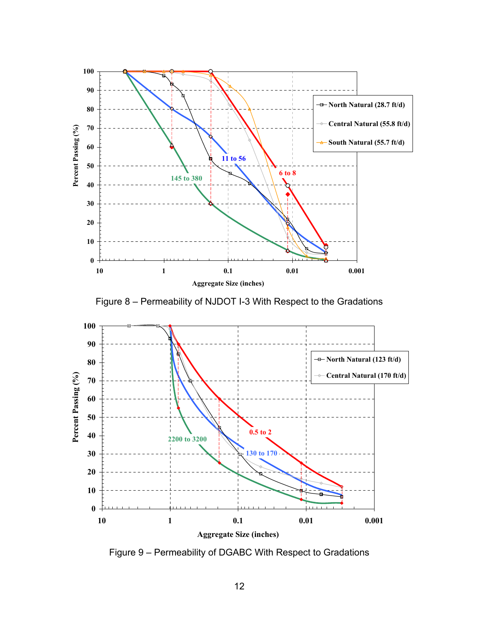

Figure 8 – Permeability of NJDOT I-3 With Respect to the Gradations



Figure 9 – Permeability of DGABC With Respect to Gradations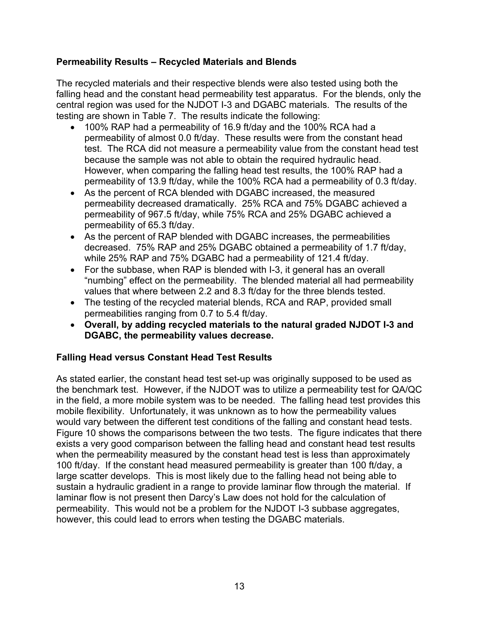# **Permeability Results – Recycled Materials and Blends**

The recycled materials and their respective blends were also tested using both the falling head and the constant head permeability test apparatus. For the blends, only the central region was used for the NJDOT I-3 and DGABC materials. The results of the testing are shown in Table 7. The results indicate the following:

- 100% RAP had a permeability of 16.9 ft/day and the 100% RCA had a permeability of almost 0.0 ft/day. These results were from the constant head test. The RCA did not measure a permeability value from the constant head test because the sample was not able to obtain the required hydraulic head. However, when comparing the falling head test results, the 100% RAP had a permeability of 13.9 ft/day, while the 100% RCA had a permeability of 0.3 ft/day.
- As the percent of RCA blended with DGABC increased, the measured permeability decreased dramatically. 25% RCA and 75% DGABC achieved a permeability of 967.5 ft/day, while 75% RCA and 25% DGABC achieved a permeability of 65.3 ft/day.
- As the percent of RAP blended with DGABC increases, the permeabilities decreased. 75% RAP and 25% DGABC obtained a permeability of 1.7 ft/day, while 25% RAP and 75% DGABC had a permeability of 121.4 ft/day.
- For the subbase, when RAP is blended with I-3, it general has an overall "numbing" effect on the permeability. The blended material all had permeability values that where between 2.2 and 8.3 ft/day for the three blends tested.
- The testing of the recycled material blends, RCA and RAP, provided small permeabilities ranging from 0.7 to 5.4 ft/day.
- **Overall, by adding recycled materials to the natural graded NJDOT I-3 and DGABC, the permeability values decrease.**

# **Falling Head versus Constant Head Test Results**

As stated earlier, the constant head test set-up was originally supposed to be used as the benchmark test. However, if the NJDOT was to utilize a permeability test for QA/QC in the field, a more mobile system was to be needed. The falling head test provides this mobile flexibility. Unfortunately, it was unknown as to how the permeability values would vary between the different test conditions of the falling and constant head tests. Figure 10 shows the comparisons between the two tests. The figure indicates that there exists a very good comparison between the falling head and constant head test results when the permeability measured by the constant head test is less than approximately 100 ft/day. If the constant head measured permeability is greater than 100 ft/day, a large scatter develops. This is most likely due to the falling head not being able to sustain a hydraulic gradient in a range to provide laminar flow through the material. If laminar flow is not present then Darcy's Law does not hold for the calculation of permeability. This would not be a problem for the NJDOT I-3 subbase aggregates, however, this could lead to errors when testing the DGABC materials.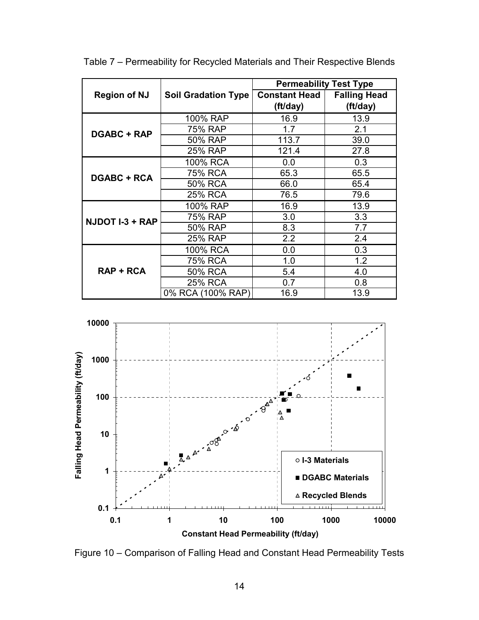|                     |                            | <b>Permeability Test Type</b> |                     |
|---------------------|----------------------------|-------------------------------|---------------------|
| <b>Region of NJ</b> | <b>Soil Gradation Type</b> | <b>Constant Head</b>          | <b>Falling Head</b> |
|                     |                            | (ft/day)                      | (ft/day)            |
|                     | 100% RAP                   | 16.9                          | 13.9                |
| <b>DGABC + RAP</b>  | 75% RAP                    | 1.7                           | 2.1                 |
|                     | 50% RAP                    | 113.7                         | 39.0                |
|                     | 25% RAP                    | 121.4                         | 27.8                |
|                     | 100% RCA                   | 0.0                           | 0.3                 |
| <b>DGABC + RCA</b>  | 75% RCA                    | 65.3                          | 65.5                |
|                     | 50% RCA                    | 66.0                          | 65.4                |
|                     | 25% RCA                    | 76.5                          | 79.6                |
|                     | 100% RAP                   | 16.9                          | 13.9                |
| NJDOT I-3 + RAP     | 75% RAP                    | 3.0                           | 3.3                 |
|                     | 50% RAP                    | 8.3                           | 7.7                 |
|                     | 25% RAP                    | 2.2                           | 2.4                 |
|                     | 100% RCA                   | 0.0                           | 0.3                 |
|                     | 75% RCA                    | 1.0                           | 1.2                 |
| $RAP + RCA$         | 50% RCA                    | 5.4                           | 4.0                 |
|                     | <b>25% RCA</b>             | 0.7                           | 0.8                 |
|                     | 0% RCA (100% RAP)          | 16.9                          | 13.9                |

Table 7 – Permeability for Recycled Materials and Their Respective Blends



Figure 10 – Comparison of Falling Head and Constant Head Permeability Tests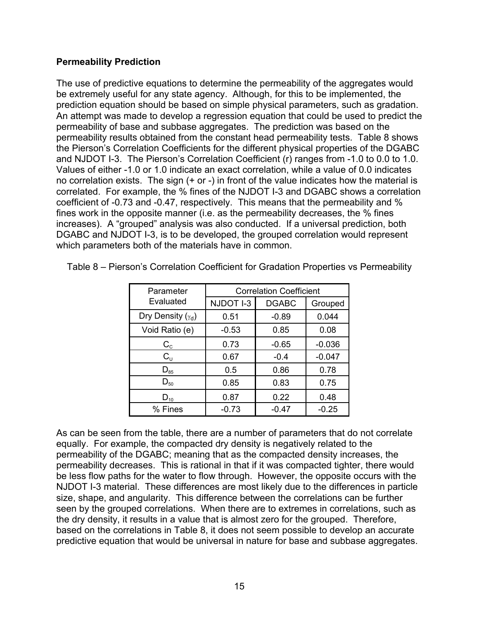### **Permeability Prediction**

The use of predictive equations to determine the permeability of the aggregates would be extremely useful for any state agency. Although, for this to be implemented, the prediction equation should be based on simple physical parameters, such as gradation. An attempt was made to develop a regression equation that could be used to predict the permeability of base and subbase aggregates. The prediction was based on the permeability results obtained from the constant head permeability tests. Table 8 shows the Pierson's Correlation Coefficients for the different physical properties of the DGABC and NJDOT I-3. The Pierson's Correlation Coefficient (r) ranges from -1.0 to 0.0 to 1.0. Values of either -1.0 or 1.0 indicate an exact correlation, while a value of 0.0 indicates no correlation exists. The sign (+ or -) in front of the value indicates how the material is correlated. For example, the % fines of the NJDOT I-3 and DGABC shows a correlation coefficient of -0.73 and -0.47, respectively. This means that the permeability and % fines work in the opposite manner (i.e. as the permeability decreases, the % fines increases). A "grouped" analysis was also conducted. If a universal prediction, both DGABC and NJDOT I-3, is to be developed, the grouped correlation would represent which parameters both of the materials have in common.

| Parameter                             | <b>Correlation Coefficient</b> |              |          |  |
|---------------------------------------|--------------------------------|--------------|----------|--|
| Evaluated                             | NJDOT I-3                      | <b>DGABC</b> | Grouped  |  |
| Dry Density $(\gamma_d)$              | 0.51                           | $-0.89$      | 0.044    |  |
| Void Ratio (e)                        | $-0.53$                        | 0.85         | 0.08     |  |
| $\rm C_c$                             | 0.73                           | $-0.65$      | $-0.036$ |  |
| $C_{\cup}$                            | 0.67                           | $-0.4$       | $-0.047$ |  |
| $\mathsf{D}_{\scriptscriptstyle{85}}$ | 0.5                            | 0.86         | 0.78     |  |
| $D_{50}$                              | 0.85                           | 0.83         | 0.75     |  |
| $D_{10}$                              | 0.87                           | 0.22         | 0.48     |  |
| $%$ Fines                             | $-0.73$                        | $-0.47$      | $-0.25$  |  |

Table 8 – Pierson's Correlation Coefficient for Gradation Properties vs Permeability

As can be seen from the table, there are a number of parameters that do not correlate equally. For example, the compacted dry density is negatively related to the permeability of the DGABC; meaning that as the compacted density increases, the permeability decreases. This is rational in that if it was compacted tighter, there would be less flow paths for the water to flow through. However, the opposite occurs with the NJDOT I-3 material. These differences are most likely due to the differences in particle size, shape, and angularity. This difference between the correlations can be further seen by the grouped correlations. When there are to extremes in correlations, such as the dry density, it results in a value that is almost zero for the grouped. Therefore, based on the correlations in Table 8, it does not seem possible to develop an accurate predictive equation that would be universal in nature for base and subbase aggregates.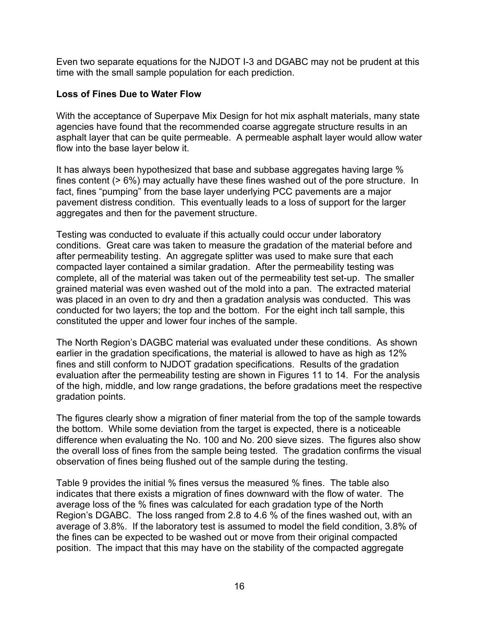Even two separate equations for the NJDOT I-3 and DGABC may not be prudent at this time with the small sample population for each prediction.

### **Loss of Fines Due to Water Flow**

With the acceptance of Superpave Mix Design for hot mix asphalt materials, many state agencies have found that the recommended coarse aggregate structure results in an asphalt layer that can be quite permeable. A permeable asphalt layer would allow water flow into the base layer below it.

It has always been hypothesized that base and subbase aggregates having large % fines content (> 6%) may actually have these fines washed out of the pore structure. In fact, fines "pumping" from the base layer underlying PCC pavements are a major pavement distress condition. This eventually leads to a loss of support for the larger aggregates and then for the pavement structure.

Testing was conducted to evaluate if this actually could occur under laboratory conditions. Great care was taken to measure the gradation of the material before and after permeability testing. An aggregate splitter was used to make sure that each compacted layer contained a similar gradation. After the permeability testing was complete, all of the material was taken out of the permeability test set-up. The smaller grained material was even washed out of the mold into a pan. The extracted material was placed in an oven to dry and then a gradation analysis was conducted. This was conducted for two layers; the top and the bottom. For the eight inch tall sample, this constituted the upper and lower four inches of the sample.

The North Region's DAGBC material was evaluated under these conditions. As shown earlier in the gradation specifications, the material is allowed to have as high as 12% fines and still conform to NJDOT gradation specifications. Results of the gradation evaluation after the permeability testing are shown in Figures 11 to 14. For the analysis of the high, middle, and low range gradations, the before gradations meet the respective gradation points.

The figures clearly show a migration of finer material from the top of the sample towards the bottom. While some deviation from the target is expected, there is a noticeable difference when evaluating the No. 100 and No. 200 sieve sizes. The figures also show the overall loss of fines from the sample being tested. The gradation confirms the visual observation of fines being flushed out of the sample during the testing.

Table 9 provides the initial % fines versus the measured % fines. The table also indicates that there exists a migration of fines downward with the flow of water. The average loss of the % fines was calculated for each gradation type of the North Region's DGABC. The loss ranged from 2.8 to 4.6 % of the fines washed out, with an average of 3.8%. If the laboratory test is assumed to model the field condition, 3.8% of the fines can be expected to be washed out or move from their original compacted position. The impact that this may have on the stability of the compacted aggregate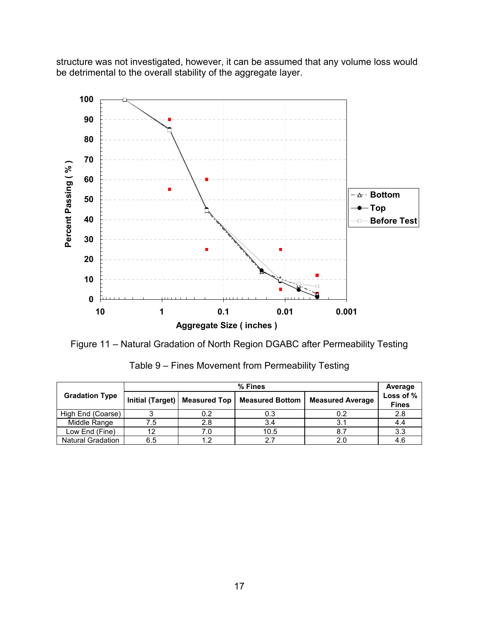structure was not investigated, however, it can be assumed that any volume loss would be detrimental to the overall stability of the aggregate layer.



Figure 11 – Natural Gradation of North Region DGABC after Permeability Testing

|                          | $%$ Fines        |                     |                        |                         |                           |
|--------------------------|------------------|---------------------|------------------------|-------------------------|---------------------------|
| <b>Gradation Type</b>    | Initial (Target) | <b>Measured Top</b> | <b>Measured Bottom</b> | <b>Measured Average</b> | Loss of %<br><b>Fines</b> |
| High End (Coarse)        |                  | 0.2                 | 0.3                    | 0.2                     | 2.8                       |
| Middle Range             | 7.5              | 2.8                 | 3.4                    | 3.1                     | 4.4                       |
| Low End (Fine)           | 1つ               | 7.0                 | 10.5                   | 8.7                     | 3.3                       |
| <b>Natural Gradation</b> | 6.5              | 1.2                 | 27                     | 2.0                     | 4.6                       |

Table 9 – Fines Movement from Permeability Testing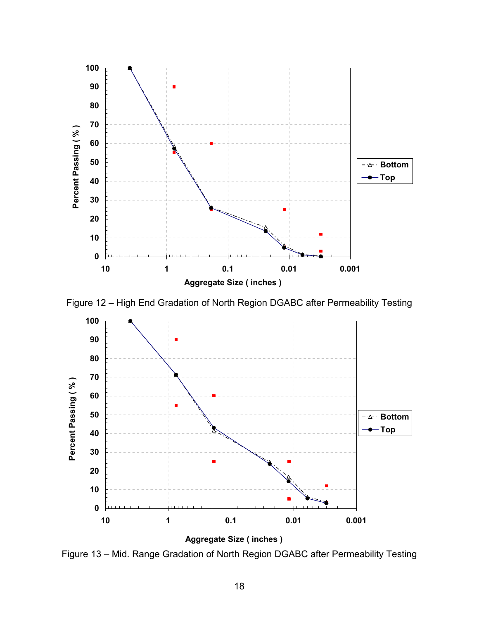

Figure 12 – High End Gradation of North Region DGABC after Permeability Testing



Figure 13 – Mid. Range Gradation of North Region DGABC after Permeability Testing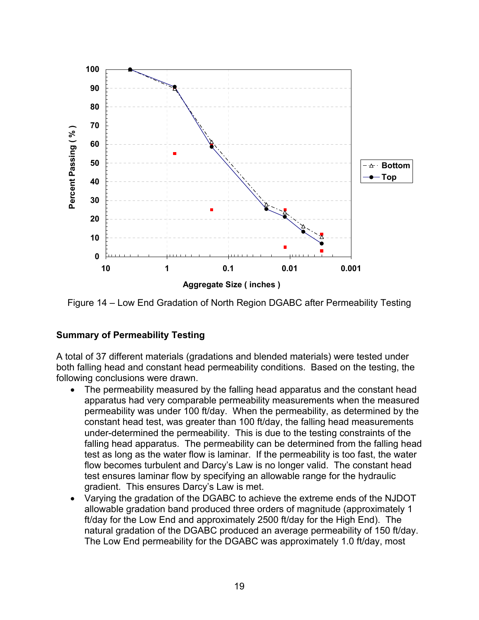

Figure 14 – Low End Gradation of North Region DGABC after Permeability Testing

# **Summary of Permeability Testing**

A total of 37 different materials (gradations and blended materials) were tested under both falling head and constant head permeability conditions. Based on the testing, the following conclusions were drawn.

- The permeability measured by the falling head apparatus and the constant head apparatus had very comparable permeability measurements when the measured permeability was under 100 ft/day. When the permeability, as determined by the constant head test, was greater than 100 ft/day, the falling head measurements under-determined the permeability. This is due to the testing constraints of the falling head apparatus. The permeability can be determined from the falling head test as long as the water flow is laminar. If the permeability is too fast, the water flow becomes turbulent and Darcy's Law is no longer valid. The constant head test ensures laminar flow by specifying an allowable range for the hydraulic gradient. This ensures Darcy's Law is met.
- Varying the gradation of the DGABC to achieve the extreme ends of the NJDOT allowable gradation band produced three orders of magnitude (approximately 1 ft/day for the Low End and approximately 2500 ft/day for the High End). The natural gradation of the DGABC produced an average permeability of 150 ft/day. The Low End permeability for the DGABC was approximately 1.0 ft/day, most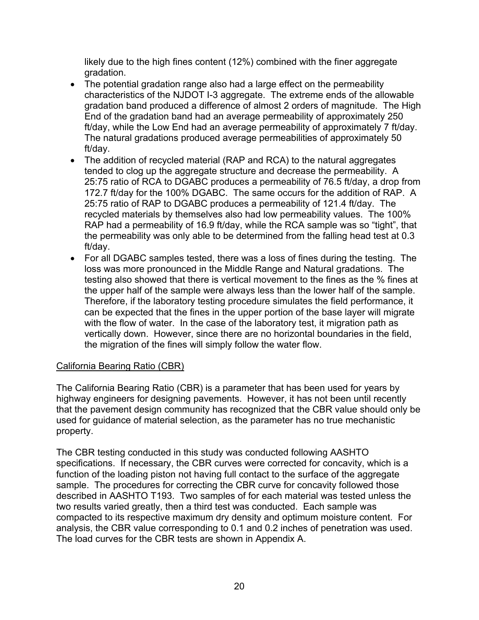likely due to the high fines content (12%) combined with the finer aggregate gradation.

- The potential gradation range also had a large effect on the permeability characteristics of the NJDOT I-3 aggregate. The extreme ends of the allowable gradation band produced a difference of almost 2 orders of magnitude. The High End of the gradation band had an average permeability of approximately 250 ft/day, while the Low End had an average permeability of approximately 7 ft/day. The natural gradations produced average permeabilities of approximately 50 ft/day.
- The addition of recycled material (RAP and RCA) to the natural aggregates tended to clog up the aggregate structure and decrease the permeability. A 25:75 ratio of RCA to DGABC produces a permeability of 76.5 ft/day, a drop from 172.7 ft/day for the 100% DGABC. The same occurs for the addition of RAP. A 25:75 ratio of RAP to DGABC produces a permeability of 121.4 ft/day. The recycled materials by themselves also had low permeability values. The 100% RAP had a permeability of 16.9 ft/day, while the RCA sample was so "tight", that the permeability was only able to be determined from the falling head test at 0.3 ft/day.
- For all DGABC samples tested, there was a loss of fines during the testing. The loss was more pronounced in the Middle Range and Natural gradations. The testing also showed that there is vertical movement to the fines as the % fines at the upper half of the sample were always less than the lower half of the sample. Therefore, if the laboratory testing procedure simulates the field performance, it can be expected that the fines in the upper portion of the base layer will migrate with the flow of water. In the case of the laboratory test, it migration path as vertically down. However, since there are no horizontal boundaries in the field, the migration of the fines will simply follow the water flow.

# California Bearing Ratio (CBR)

The California Bearing Ratio (CBR) is a parameter that has been used for years by highway engineers for designing pavements. However, it has not been until recently that the pavement design community has recognized that the CBR value should only be used for guidance of material selection, as the parameter has no true mechanistic property.

The CBR testing conducted in this study was conducted following AASHTO specifications. If necessary, the CBR curves were corrected for concavity, which is a function of the loading piston not having full contact to the surface of the aggregate sample. The procedures for correcting the CBR curve for concavity followed those described in AASHTO T193. Two samples of for each material was tested unless the two results varied greatly, then a third test was conducted. Each sample was compacted to its respective maximum dry density and optimum moisture content. For analysis, the CBR value corresponding to 0.1 and 0.2 inches of penetration was used. The load curves for the CBR tests are shown in Appendix A.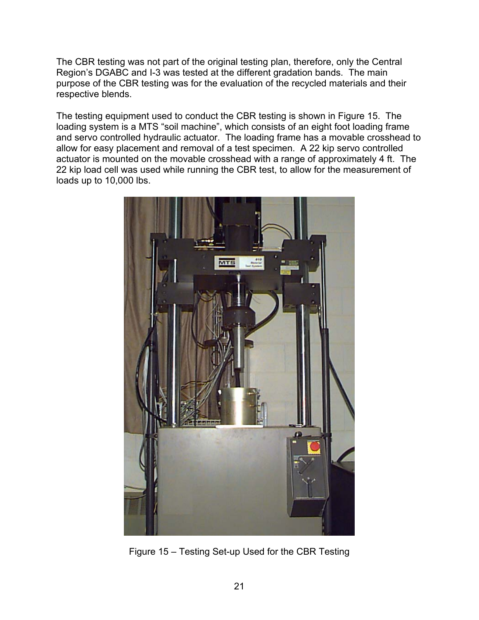The CBR testing was not part of the original testing plan, therefore, only the Central Region's DGABC and I-3 was tested at the different gradation bands. The main purpose of the CBR testing was for the evaluation of the recycled materials and their respective blends.

The testing equipment used to conduct the CBR testing is shown in Figure 15. The loading system is a MTS "soil machine", which consists of an eight foot loading frame and servo controlled hydraulic actuator. The loading frame has a movable crosshead to allow for easy placement and removal of a test specimen. A 22 kip servo controlled actuator is mounted on the movable crosshead with a range of approximately 4 ft. The 22 kip load cell was used while running the CBR test, to allow for the measurement of loads up to 10,000 lbs.



Figure 15 – Testing Set-up Used for the CBR Testing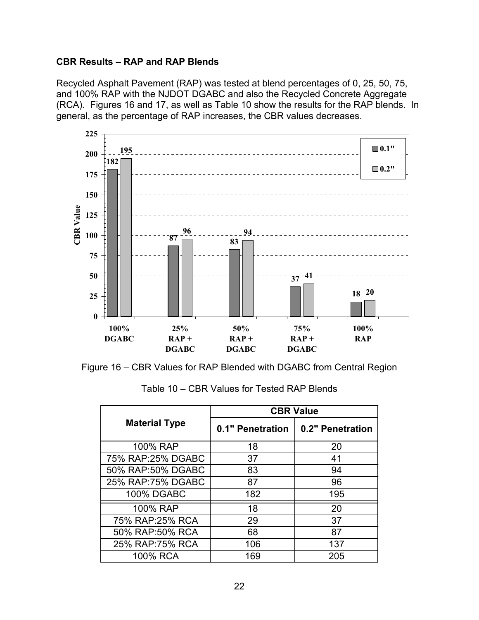### **CBR Results – RAP and RAP Blends**

Recycled Asphalt Pavement (RAP) was tested at blend percentages of 0, 25, 50, 75, and 100% RAP with the NJDOT DGABC and also the Recycled Concrete Aggregate (RCA). Figures 16 and 17, as well as Table 10 show the results for the RAP blends. In general, as the percentage of RAP increases, the CBR values decreases.



Figure 16 – CBR Values for RAP Blended with DGABC from Central Region

|                      | <b>CBR Value</b> |                  |  |
|----------------------|------------------|------------------|--|
| <b>Material Type</b> | 0.1" Penetration | 0.2" Penetration |  |
| 100% RAP             | 18               | 20               |  |
| 75% RAP:25% DGABC    | 37               | 41               |  |
| 50% RAP:50% DGABC    | 83               | 94               |  |
| 25% RAP:75% DGABC    | 87               | 96               |  |
| <b>100% DGABC</b>    | 182              | 195              |  |
| 100% RAP             | 18               | 20               |  |
| 75% RAP:25% RCA      | 29               | 37               |  |
| 50% RAP:50% RCA      | 68               | 87               |  |
| 25% RAP:75% RCA      | 106              | 137              |  |
| 100% RCA             | 169              | 205              |  |

Table 10 – CBR Values for Tested RAP Blends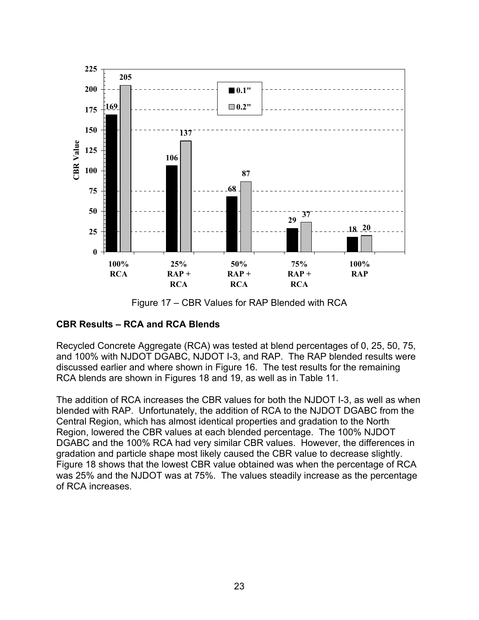

Figure 17 – CBR Values for RAP Blended with RCA

# **CBR Results – RCA and RCA Blends**

Recycled Concrete Aggregate (RCA) was tested at blend percentages of 0, 25, 50, 75, and 100% with NJDOT DGABC, NJDOT I-3, and RAP. The RAP blended results were discussed earlier and where shown in Figure 16. The test results for the remaining RCA blends are shown in Figures 18 and 19, as well as in Table 11.

The addition of RCA increases the CBR values for both the NJDOT I-3, as well as when blended with RAP. Unfortunately, the addition of RCA to the NJDOT DGABC from the Central Region, which has almost identical properties and gradation to the North Region, lowered the CBR values at each blended percentage. The 100% NJDOT DGABC and the 100% RCA had very similar CBR values. However, the differences in gradation and particle shape most likely caused the CBR value to decrease slightly. Figure 18 shows that the lowest CBR value obtained was when the percentage of RCA was 25% and the NJDOT was at 75%. The values steadily increase as the percentage of RCA increases.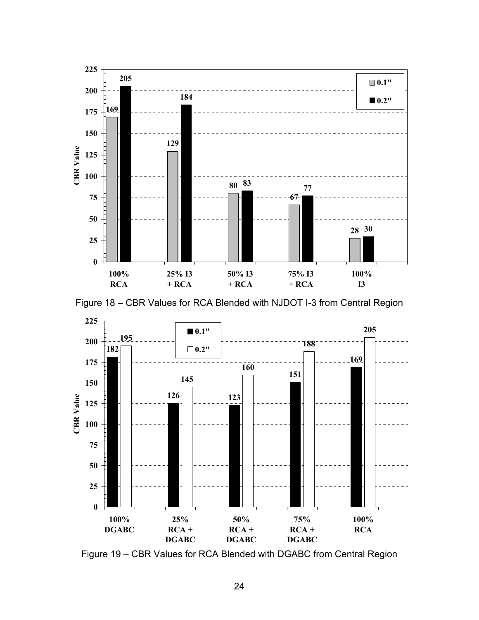





Figure 19 – CBR Values for RCA Blended with DGABC from Central Region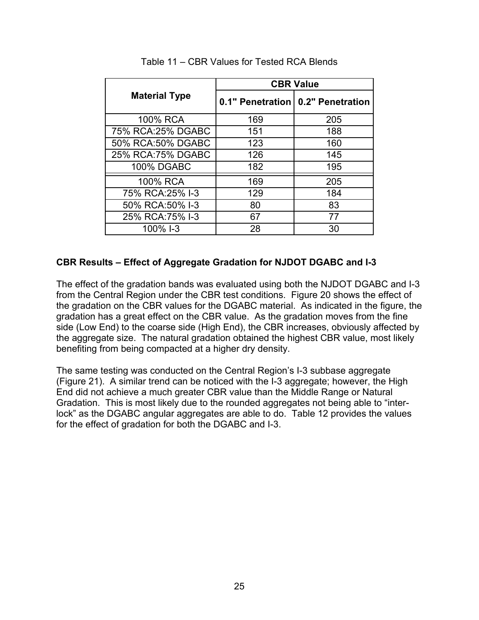|                      | <b>CBR Value</b> |                                     |  |
|----------------------|------------------|-------------------------------------|--|
| <b>Material Type</b> |                  | 0.1" Penetration   0.2" Penetration |  |
| 100% RCA             | 169              | 205                                 |  |
| 75% RCA: 25% DGABC   | 151              | 188                                 |  |
| 50% RCA:50% DGABC    | 123              | 160                                 |  |
| 25% RCA:75% DGABC    | 126              | 145                                 |  |
| <b>100% DGABC</b>    | 182              | 195                                 |  |
| 100% RCA             | 169              | 205                                 |  |
| 75% RCA: 25% I-3     | 129              | 184                                 |  |
| 50% RCA:50% I-3      | 80               | 83                                  |  |
| 25% RCA: 75% I-3     | 67               | 77                                  |  |
| 100% I-3             | 28               | 30                                  |  |

Table 11 – CBR Values for Tested RCA Blends

### **CBR Results – Effect of Aggregate Gradation for NJDOT DGABC and I-3**

The effect of the gradation bands was evaluated using both the NJDOT DGABC and I-3 from the Central Region under the CBR test conditions. Figure 20 shows the effect of the gradation on the CBR values for the DGABC material. As indicated in the figure, the gradation has a great effect on the CBR value. As the gradation moves from the fine side (Low End) to the coarse side (High End), the CBR increases, obviously affected by the aggregate size. The natural gradation obtained the highest CBR value, most likely benefiting from being compacted at a higher dry density.

The same testing was conducted on the Central Region's I-3 subbase aggregate (Figure 21). A similar trend can be noticed with the I-3 aggregate; however, the High End did not achieve a much greater CBR value than the Middle Range or Natural Gradation. This is most likely due to the rounded aggregates not being able to "interlock" as the DGABC angular aggregates are able to do. Table 12 provides the values for the effect of gradation for both the DGABC and I-3.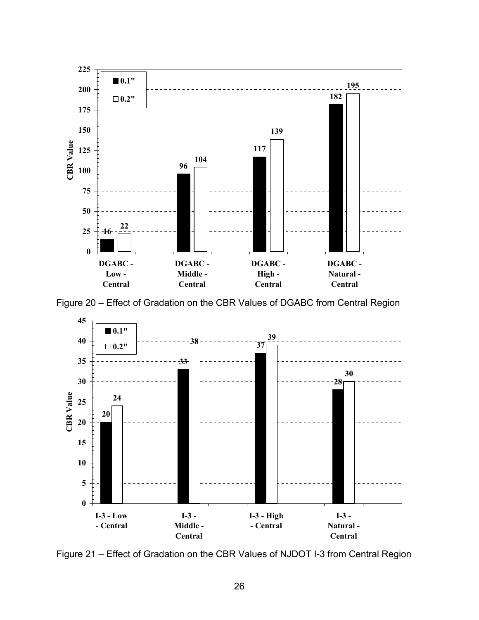

Figure 20 – Effect of Gradation on the CBR Values of DGABC from Central Region



Figure 21 – Effect of Gradation on the CBR Values of NJDOT I-3 from Central Region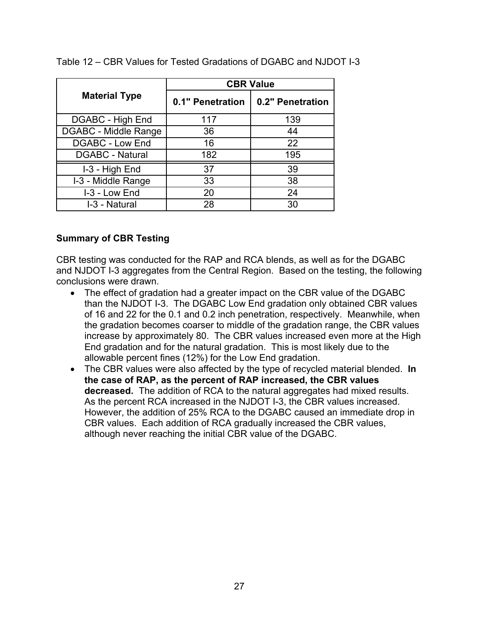|                        | <b>CBR Value</b> |                  |  |
|------------------------|------------------|------------------|--|
| <b>Material Type</b>   | 0.1" Penetration | 0.2" Penetration |  |
| DGABC - High End       | 117              | 139              |  |
| DGABC - Middle Range   | 36               | 44               |  |
| <b>DGABC - Low End</b> | 16               | 22               |  |
| <b>DGABC - Natural</b> | 182              | 195              |  |
| I-3 - High End         | 37               | 39               |  |
| I-3 - Middle Range     | 33               | 38               |  |
| I-3 - Low End          | 20               | 24               |  |
| I-3 - Natural          | 28               | 30               |  |

Table 12 – CBR Values for Tested Gradations of DGABC and NJDOT I-3

### **Summary of CBR Testing**

CBR testing was conducted for the RAP and RCA blends, as well as for the DGABC and NJDOT I-3 aggregates from the Central Region. Based on the testing, the following conclusions were drawn.

- The effect of gradation had a greater impact on the CBR value of the DGABC than the NJDOT I-3. The DGABC Low End gradation only obtained CBR values of 16 and 22 for the 0.1 and 0.2 inch penetration, respectively. Meanwhile, when the gradation becomes coarser to middle of the gradation range, the CBR values increase by approximately 80. The CBR values increased even more at the High End gradation and for the natural gradation. This is most likely due to the allowable percent fines (12%) for the Low End gradation.
- The CBR values were also affected by the type of recycled material blended. **In the case of RAP, as the percent of RAP increased, the CBR values decreased.** The addition of RCA to the natural aggregates had mixed results. As the percent RCA increased in the NJDOT I-3, the CBR values increased. However, the addition of 25% RCA to the DGABC caused an immediate drop in CBR values. Each addition of RCA gradually increased the CBR values, although never reaching the initial CBR value of the DGABC.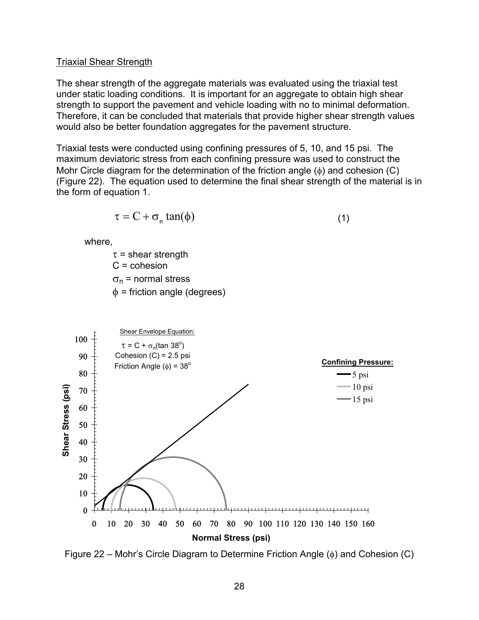#### Triaxial Shear Strength

The shear strength of the aggregate materials was evaluated using the triaxial test under static loading conditions. It is important for an aggregate to obtain high shear strength to support the pavement and vehicle loading with no to minimal deformation. Therefore, it can be concluded that materials that provide higher shear strength values would also be better foundation aggregates for the pavement structure.

Triaxial tests were conducted using confining pressures of 5, 10, and 15 psi. The maximum deviatoric stress from each confining pressure was used to construct the Mohr Circle diagram for the determination of the friction angle  $(\phi)$  and cohesion (C) (Figure 22). The equation used to determine the final shear strength of the material is in the form of equation 1.

$$
\tau = C + \sigma_n \tan(\phi) \tag{1}
$$

where,

 $\tau$  = shear strength C = cohesion  $\sigma_{\rm n}$  = normal stress  $\phi$  = friction angle (degrees)



Figure 22 – Mohr's Circle Diagram to Determine Friction Angle (φ) and Cohesion (C)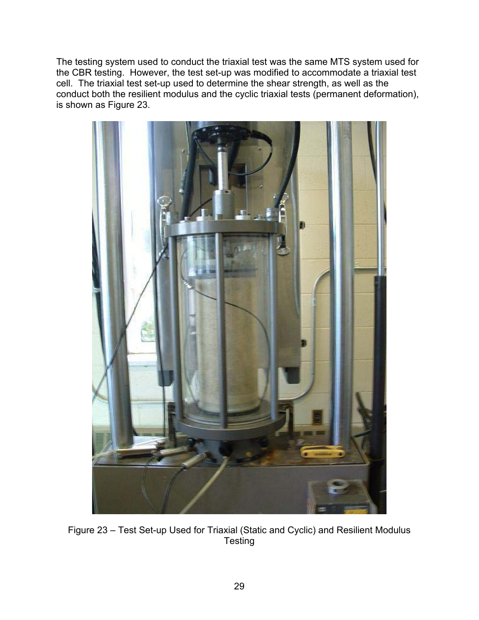The testing system used to conduct the triaxial test was the same MTS system used for the CBR testing. However, the test set-up was modified to accommodate a triaxial test cell. The triaxial test set-up used to determine the shear strength, as well as the conduct both the resilient modulus and the cyclic triaxial tests (permanent deformation), is shown as Figure 23.



Figure 23 – Test Set-up Used for Triaxial (Static and Cyclic) and Resilient Modulus **Testing**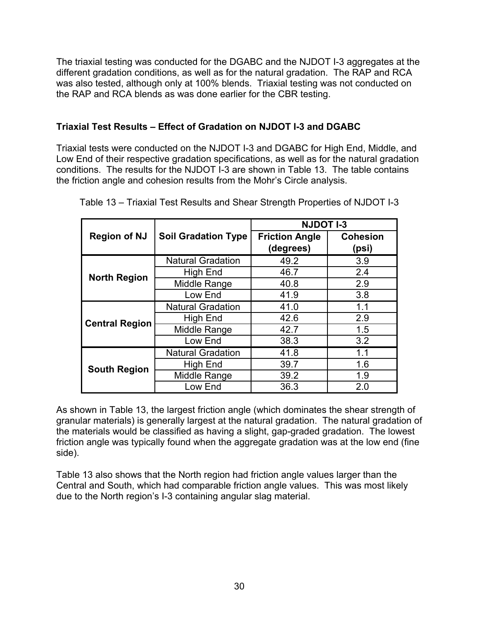The triaxial testing was conducted for the DGABC and the NJDOT I-3 aggregates at the different gradation conditions, as well as for the natural gradation. The RAP and RCA was also tested, although only at 100% blends. Triaxial testing was not conducted on the RAP and RCA blends as was done earlier for the CBR testing.

# **Triaxial Test Results – Effect of Gradation on NJDOT I-3 and DGABC**

Triaxial tests were conducted on the NJDOT I-3 and DGABC for High End, Middle, and Low End of their respective gradation specifications, as well as for the natural gradation conditions. The results for the NJDOT I-3 are shown in Table 13. The table contains the friction angle and cohesion results from the Mohr's Circle analysis.

|                       |                            | <b>NJDOT I-3</b>      |                 |
|-----------------------|----------------------------|-----------------------|-----------------|
| <b>Region of NJ</b>   | <b>Soil Gradation Type</b> | <b>Friction Angle</b> | <b>Cohesion</b> |
|                       |                            | (degrees)             | (psi)           |
|                       | <b>Natural Gradation</b>   | 49.2                  | 3.9             |
| <b>North Region</b>   | High End                   | 46.7                  | 2.4             |
|                       | Middle Range               | 40.8                  | 2.9             |
|                       | Low End                    | 41.9                  | 3.8             |
|                       | <b>Natural Gradation</b>   | 41.0                  | 1.1             |
| <b>Central Region</b> | High End                   | 42.6                  | 2.9             |
|                       | Middle Range               | 42.7                  | 1.5             |
|                       | Low End                    | 38.3                  | 3.2             |
|                       | <b>Natural Gradation</b>   | 41.8                  | 1.1             |
| <b>South Region</b>   | High End                   | 39.7                  | 1.6             |
|                       | Middle Range               | 39.2                  | 1.9             |
|                       | Low End                    | 36.3                  | 2.0             |

Table 13 – Triaxial Test Results and Shear Strength Properties of NJDOT I-3

As shown in Table 13, the largest friction angle (which dominates the shear strength of granular materials) is generally largest at the natural gradation. The natural gradation of the materials would be classified as having a slight, gap-graded gradation. The lowest friction angle was typically found when the aggregate gradation was at the low end (fine side).

Table 13 also shows that the North region had friction angle values larger than the Central and South, which had comparable friction angle values. This was most likely due to the North region's I-3 containing angular slag material.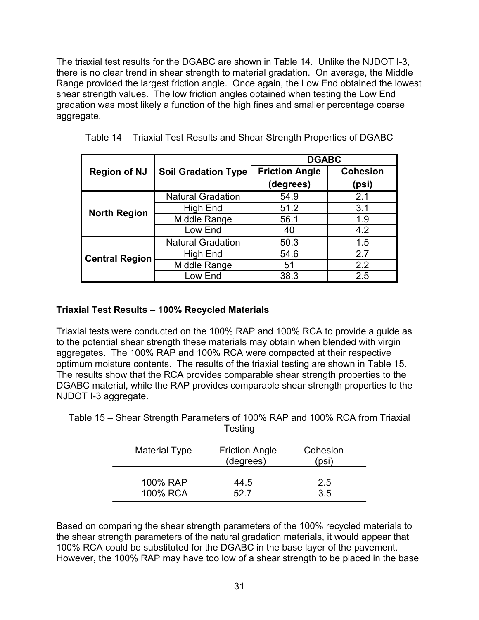The triaxial test results for the DGABC are shown in Table 14. Unlike the NJDOT I-3, there is no clear trend in shear strength to material gradation. On average, the Middle Range provided the largest friction angle. Once again, the Low End obtained the lowest shear strength values. The low friction angles obtained when testing the Low End gradation was most likely a function of the high fines and smaller percentage coarse aggregate.

|                       |                            | <b>DGABC</b>          |                 |  |
|-----------------------|----------------------------|-----------------------|-----------------|--|
| <b>Region of NJ</b>   | <b>Soil Gradation Type</b> | <b>Friction Angle</b> | <b>Cohesion</b> |  |
|                       |                            | (degrees)             | (psi)           |  |
|                       | <b>Natural Gradation</b>   | 54.9                  | 2.1             |  |
| <b>North Region</b>   | High End                   | 51.2                  | 3.1             |  |
|                       | Middle Range               | 56.1                  | 1.9             |  |
|                       | Low End                    | 40                    | 4.2             |  |
|                       | <b>Natural Gradation</b>   | 50.3                  | 1.5             |  |
| <b>Central Region</b> | <b>High End</b>            | 54.6                  | 2.7             |  |
|                       | Middle Range               | 51                    | 2.2             |  |
|                       | Low End                    | 38.3                  | 2.5             |  |

|  |  | Table 14 – Triaxial Test Results and Shear Strength Properties of DGABC |
|--|--|-------------------------------------------------------------------------|
|--|--|-------------------------------------------------------------------------|

### **Triaxial Test Results – 100% Recycled Materials**

Triaxial tests were conducted on the 100% RAP and 100% RCA to provide a guide as to the potential shear strength these materials may obtain when blended with virgin aggregates. The 100% RAP and 100% RCA were compacted at their respective optimum moisture contents. The results of the triaxial testing are shown in Table 15. The results show that the RCA provides comparable shear strength properties to the DGABC material, while the RAP provides comparable shear strength properties to the NJDOT I-3 aggregate.

| <b>Testing</b>       |                                    |                   |  |  |
|----------------------|------------------------------------|-------------------|--|--|
| <b>Material Type</b> | <b>Friction Angle</b><br>(degrees) | Cohesion<br>(psi) |  |  |
| 100% RAP             | 44.5                               | 2.5               |  |  |
| 100% RCA             | 52.7                               | 3.5               |  |  |

Table 15 – Shear Strength Parameters of 100% RAP and 100% RCA from Triaxial Testing

Based on comparing the shear strength parameters of the 100% recycled materials to the shear strength parameters of the natural gradation materials, it would appear that 100% RCA could be substituted for the DGABC in the base layer of the pavement. However, the 100% RAP may have too low of a shear strength to be placed in the base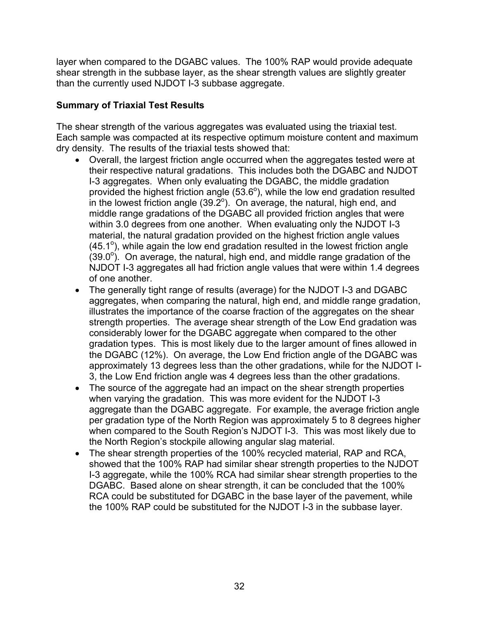layer when compared to the DGABC values. The 100% RAP would provide adequate shear strength in the subbase layer, as the shear strength values are slightly greater than the currently used NJDOT I-3 subbase aggregate.

# **Summary of Triaxial Test Results**

The shear strength of the various aggregates was evaluated using the triaxial test. Each sample was compacted at its respective optimum moisture content and maximum dry density. The results of the triaxial tests showed that:

- Overall, the largest friction angle occurred when the aggregates tested were at their respective natural gradations. This includes both the DGABC and NJDOT I-3 aggregates. When only evaluating the DGABC, the middle gradation provided the highest friction angle  $(53.6^{\circ})$ , while the low end gradation resulted in the lowest friction angle (39.2 $^{\circ}$ ). On average, the natural, high end, and middle range gradations of the DGABC all provided friction angles that were within 3.0 degrees from one another. When evaluating only the NJDOT I-3 material, the natural gradation provided on the highest friction angle values  $(45.1^{\circ})$ , while again the low end gradation resulted in the lowest friction angle  $(39.0^\circ)$ . On average, the natural, high end, and middle range gradation of the NJDOT I-3 aggregates all had friction angle values that were within 1.4 degrees of one another.
- The generally tight range of results (average) for the NJDOT I-3 and DGABC aggregates, when comparing the natural, high end, and middle range gradation, illustrates the importance of the coarse fraction of the aggregates on the shear strength properties. The average shear strength of the Low End gradation was considerably lower for the DGABC aggregate when compared to the other gradation types. This is most likely due to the larger amount of fines allowed in the DGABC (12%). On average, the Low End friction angle of the DGABC was approximately 13 degrees less than the other gradations, while for the NJDOT I-3, the Low End friction angle was 4 degrees less than the other gradations.
- The source of the aggregate had an impact on the shear strength properties when varying the gradation. This was more evident for the NJDOT I-3 aggregate than the DGABC aggregate. For example, the average friction angle per gradation type of the North Region was approximately 5 to 8 degrees higher when compared to the South Region's NJDOT I-3. This was most likely due to the North Region's stockpile allowing angular slag material.
- The shear strength properties of the 100% recycled material, RAP and RCA, showed that the 100% RAP had similar shear strength properties to the NJDOT I-3 aggregate, while the 100% RCA had similar shear strength properties to the DGABC. Based alone on shear strength, it can be concluded that the 100% RCA could be substituted for DGABC in the base layer of the pavement, while the 100% RAP could be substituted for the NJDOT I-3 in the subbase layer.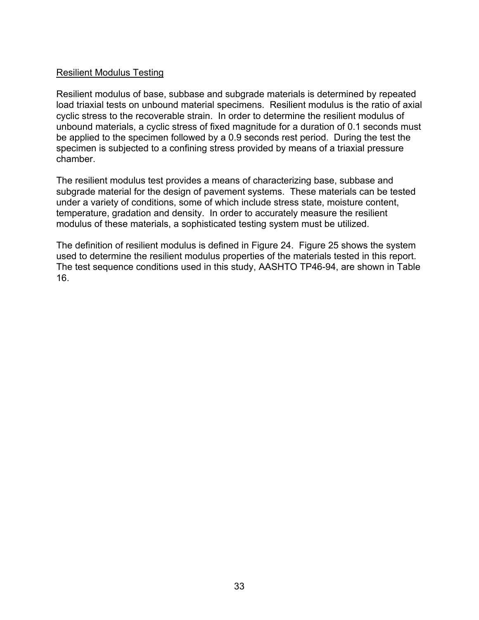### Resilient Modulus Testing

Resilient modulus of base, subbase and subgrade materials is determined by repeated load triaxial tests on unbound material specimens. Resilient modulus is the ratio of axial cyclic stress to the recoverable strain. In order to determine the resilient modulus of unbound materials, a cyclic stress of fixed magnitude for a duration of 0.1 seconds must be applied to the specimen followed by a 0.9 seconds rest period. During the test the specimen is subjected to a confining stress provided by means of a triaxial pressure chamber.

The resilient modulus test provides a means of characterizing base, subbase and subgrade material for the design of pavement systems. These materials can be tested under a variety of conditions, some of which include stress state, moisture content, temperature, gradation and density. In order to accurately measure the resilient modulus of these materials, a sophisticated testing system must be utilized.

The definition of resilient modulus is defined in Figure 24. Figure 25 shows the system used to determine the resilient modulus properties of the materials tested in this report. The test sequence conditions used in this study, AASHTO TP46-94, are shown in Table 16.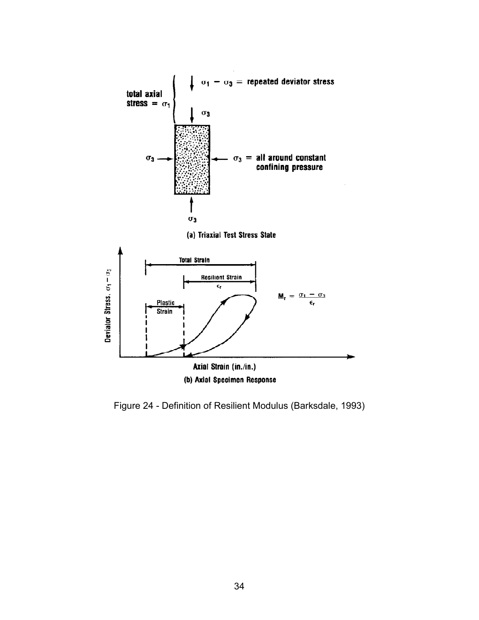

Figure 24 - Definition of Resilient Modulus (Barksdale, 1993)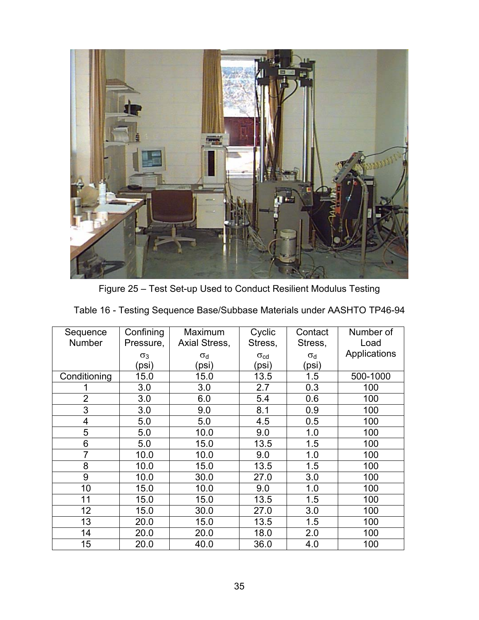

Figure 25 – Test Set-up Used to Conduct Resilient Modulus Testing

| Sequence<br>Number | Confining<br>Pressure, | Maximum<br>Axial Stress, | Cyclic<br>Stress, | Contact<br>Stress, | Number of<br>Load |
|--------------------|------------------------|--------------------------|-------------------|--------------------|-------------------|
|                    | $\sigma_3$             | $\sigma_d$               | $\sigma_{\rm cd}$ | $\sigma_d$         | Applications      |
|                    | (psi)                  | (psi)                    | (psi)             | (psi)              |                   |
| Conditioning       | 15.0                   | 15.0                     | 13.5              | 1.5                | 500-1000          |
|                    | 3.0                    | 3.0                      | 2.7               | 0.3                | 100               |
| $\overline{2}$     | 3.0                    | 6.0                      | 5.4               | 0.6                | 100               |
| 3                  | 3.0                    | 9.0                      | 8.1               | 0.9                | 100               |
| $\overline{4}$     | 5.0                    | 5.0                      | 4.5               | 0.5                | 100               |
| 5                  | 5.0                    | 10.0                     | 9.0               | 1.0                | 100               |
| 6                  | 5.0                    | 15.0                     | 13.5              | 1.5                | 100               |
| $\overline{7}$     | 10.0                   | 10.0                     | 9.0               | 1.0                | 100               |
| 8                  | 10.0                   | 15.0                     | 13.5              | 1.5                | 100               |
| 9                  | 10.0                   | 30.0                     | 27.0              | 3.0                | 100               |
| 10                 | 15.0                   | 10.0                     | 9.0               | 1.0                | 100               |
| 11                 | 15.0                   | 15.0                     | 13.5              | 1.5                | 100               |
| 12                 | 15.0                   | 30.0                     | 27.0              | 3.0                | 100               |
| 13                 | 20.0                   | 15.0                     | 13.5              | 1.5                | 100               |
| 14                 | 20.0                   | 20.0                     | 18.0              | 2.0                | 100               |
| 15                 | 20.0                   | 40.0                     | 36.0              | 4.0                | 100               |

|  | Table 16 - Testing Sequence Base/Subbase Materials under AASHTO TP46-94 |
|--|-------------------------------------------------------------------------|
|  |                                                                         |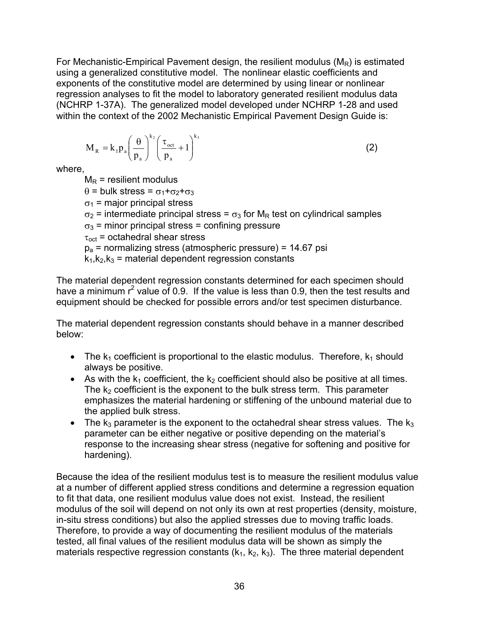For Mechanistic-Empirical Pavement design, the resilient modulus  $(M_R)$  is estimated using a generalized constitutive model. The nonlinear elastic coefficients and exponents of the constitutive model are determined by using linear or nonlinear regression analyses to fit the model to laboratory generated resilient modulus data (NCHRP 1-37A). The generalized model developed under NCHRP 1-28 and used within the context of the 2002 Mechanistic Empirical Pavement Design Guide is:

$$
M_R = k_1 p_a \left(\frac{\theta}{p_a}\right)^{k_2} \left(\frac{\tau_{oct}}{p_a} + 1\right)^{k_3}
$$
 (2)

where,

 $M_R$  = resilient modulus  $θ = bulk stress = σ<sub>1</sub>+σ<sub>2</sub>+σ<sub>3</sub>$  $\sigma_1$  = major principal stress  $\sigma_2$  = intermediate principal stress =  $\sigma_3$  for M<sub>R</sub> test on cylindrical samples  $\sigma_3$  = minor principal stress = confining pressure  $\tau_{\text{oct}}$  = octahedral shear stress  $p_a$  = normalizing stress (atmospheric pressure) = 14.67 psi  $k_1, k_2, k_3$  = material dependent regression constants

The material dependent regression constants determined for each specimen should have a minimum  $r^2$  value of 0.9. If the value is less than 0.9, then the test results and equipment should be checked for possible errors and/or test specimen disturbance.

The material dependent regression constants should behave in a manner described below:

- The  $k_1$  coefficient is proportional to the elastic modulus. Therefore,  $k_1$  should always be positive.
- As with the  $k_1$  coefficient, the  $k_2$  coefficient should also be positive at all times. The  $k_2$  coefficient is the exponent to the bulk stress term. This parameter emphasizes the material hardening or stiffening of the unbound material due to the applied bulk stress.
- The  $k_3$  parameter is the exponent to the octahedral shear stress values. The  $k_3$ parameter can be either negative or positive depending on the material's response to the increasing shear stress (negative for softening and positive for hardening).

Because the idea of the resilient modulus test is to measure the resilient modulus value at a number of different applied stress conditions and determine a regression equation to fit that data, one resilient modulus value does not exist. Instead, the resilient modulus of the soil will depend on not only its own at rest properties (density, moisture, in-situ stress conditions) but also the applied stresses due to moving traffic loads. Therefore, to provide a way of documenting the resilient modulus of the materials tested, all final values of the resilient modulus data will be shown as simply the materials respective regression constants  $(k_1, k_2, k_3)$ . The three material dependent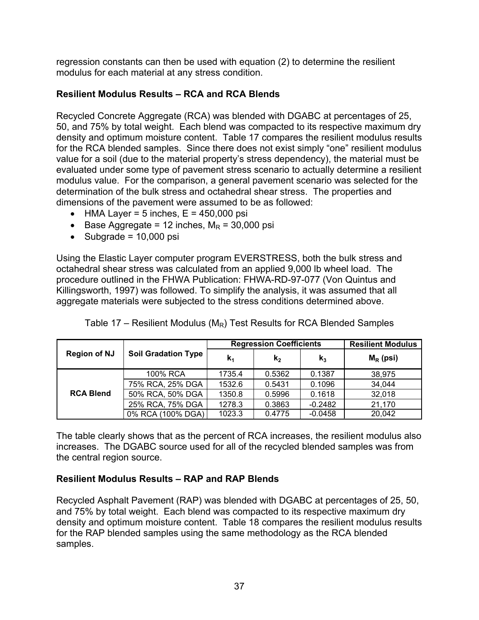regression constants can then be used with equation (2) to determine the resilient modulus for each material at any stress condition.

# **Resilient Modulus Results – RCA and RCA Blends**

Recycled Concrete Aggregate (RCA) was blended with DGABC at percentages of 25, 50, and 75% by total weight. Each blend was compacted to its respective maximum dry density and optimum moisture content. Table 17 compares the resilient modulus results for the RCA blended samples. Since there does not exist simply "one" resilient modulus value for a soil (due to the material property's stress dependency), the material must be evaluated under some type of pavement stress scenario to actually determine a resilient modulus value. For the comparison, a general pavement scenario was selected for the determination of the bulk stress and octahedral shear stress. The properties and dimensions of the pavement were assumed to be as followed:

- HMA Layer = 5 inches,  $E = 450,000$  psi
- Base Aggregate = 12 inches,  $M_R$  = 30,000 psi
- $\bullet$  Subgrade = 10,000 psi

Using the Elastic Layer computer program EVERSTRESS, both the bulk stress and octahedral shear stress was calculated from an applied 9,000 lb wheel load. The procedure outlined in the FHWA Publication: FHWA-RD-97-077 (Von Quintus and Killingsworth, 1997) was followed. To simplify the analysis, it was assumed that all aggregate materials were subjected to the stress conditions determined above.

|                     |                            | <b>Regression Coefficients</b> |                |                | <b>Resilient Modulus</b> |
|---------------------|----------------------------|--------------------------------|----------------|----------------|--------------------------|
| <b>Region of NJ</b> | <b>Soil Gradation Type</b> | $K_1$                          | k <sub>2</sub> | $\mathbf{k}_3$ | $M_R$ (psi)              |
|                     | 100% RCA                   | 1735.4                         | 0.5362         | 0.1387         | 38,975                   |
|                     | 75% RCA, 25% DGA           | 1532.6                         | 0.5431         | 0.1096         | 34,044                   |
| <b>RCA Blend</b>    | 50% RCA, 50% DGA           | 1350.8                         | 0.5996         | 0.1618         | 32,018                   |
|                     | 25% RCA, 75% DGA           | 1278.3                         | 0.3863         | $-0.2482$      | 21,170                   |
|                     | 0% RCA (100% DGA)          | 1023.3                         | 0.4775         | $-0.0458$      | 20,042                   |

Table 17 – Resilient Modulus ( $M_R$ ) Test Results for RCA Blended Samples

The table clearly shows that as the percent of RCA increases, the resilient modulus also increases. The DGABC source used for all of the recycled blended samples was from the central region source.

# **Resilient Modulus Results – RAP and RAP Blends**

Recycled Asphalt Pavement (RAP) was blended with DGABC at percentages of 25, 50, and 75% by total weight. Each blend was compacted to its respective maximum dry density and optimum moisture content. Table 18 compares the resilient modulus results for the RAP blended samples using the same methodology as the RCA blended samples.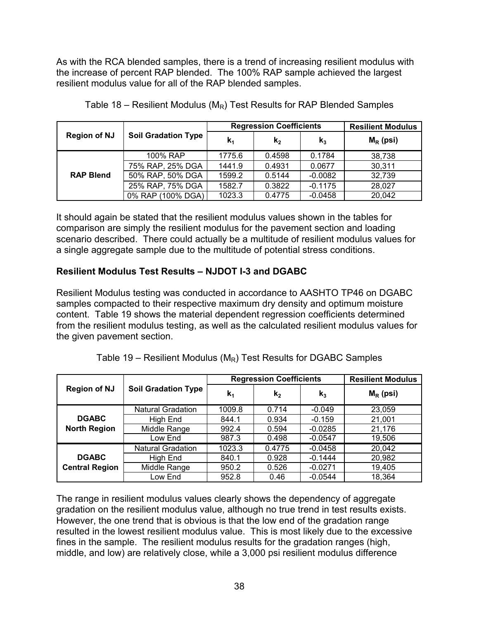As with the RCA blended samples, there is a trend of increasing resilient modulus with the increase of percent RAP blended. The 100% RAP sample achieved the largest resilient modulus value for all of the RAP blended samples.

| <b>Region of NJ</b> | <b>Soil Gradation Type</b> | <b>Regression Coefficients</b> |         |           | <b>Resilient Modulus</b> |
|---------------------|----------------------------|--------------------------------|---------|-----------|--------------------------|
|                     |                            | k,                             | $k_{2}$ | $k_3$     | $M_R$ (psi)              |
| <b>RAP Blend</b>    | 100% RAP                   | 1775.6                         | 0.4598  | 0.1784    | 38,738                   |
|                     | 75% RAP, 25% DGA           | 1441.9                         | 0.4931  | 0.0677    | 30,311                   |
|                     | 50% RAP, 50% DGA           | 1599.2                         | 0.5144  | $-0.0082$ | 32,739                   |
|                     | 25% RAP, 75% DGA           | 1582.7                         | 0.3822  | $-0.1175$ | 28,027                   |
|                     | 0% RAP (100% DGA)          | 1023.3                         | 0.4775  | $-0.0458$ | 20,042                   |

Table 18 – Resilient Modulus ( $M_R$ ) Test Results for RAP Blended Samples

It should again be stated that the resilient modulus values shown in the tables for comparison are simply the resilient modulus for the pavement section and loading scenario described. There could actually be a multitude of resilient modulus values for a single aggregate sample due to the multitude of potential stress conditions.

# **Resilient Modulus Test Results – NJDOT I-3 and DGABC**

Resilient Modulus testing was conducted in accordance to AASHTO TP46 on DGABC samples compacted to their respective maximum dry density and optimum moisture content. Table 19 shows the material dependent regression coefficients determined from the resilient modulus testing, as well as the calculated resilient modulus values for the given pavement section.

| <b>Region of NJ</b>                   | <b>Soil Gradation Type</b> | <b>Regression Coefficients</b> |         |                | <b>Resilient Modulus</b> |
|---------------------------------------|----------------------------|--------------------------------|---------|----------------|--------------------------|
|                                       |                            | $\mathbf{k}_1$                 | $k_{2}$ | $\mathbf{k}_3$ | $M_R$ (psi)              |
| <b>DGABC</b><br><b>North Region</b>   | <b>Natural Gradation</b>   | 1009.8                         | 0.714   | $-0.049$       | 23,059                   |
|                                       | High End                   | 844.1                          | 0.934   | $-0.159$       | 21,001                   |
|                                       | Middle Range               | 992.4                          | 0.594   | $-0.0285$      | 21,176                   |
|                                       | Low End                    | 987.3                          | 0.498   | $-0.0547$      | 19,506                   |
| <b>DGABC</b><br><b>Central Region</b> | <b>Natural Gradation</b>   | 1023.3                         | 0.4775  | $-0.0458$      | 20,042                   |
|                                       | High End                   | 840.1                          | 0.928   | $-0.1444$      | 20,982                   |
|                                       | Middle Range               | 950.2                          | 0.526   | $-0.0271$      | 19,405                   |
|                                       | Low End                    | 952.8                          | 0.46    | $-0.0544$      | 18,364                   |

|  | Table 19 – Resilient Modulus ( $M_R$ ) Test Results for DGABC Samples |
|--|-----------------------------------------------------------------------|
|--|-----------------------------------------------------------------------|

The range in resilient modulus values clearly shows the dependency of aggregate gradation on the resilient modulus value, although no true trend in test results exists. However, the one trend that is obvious is that the low end of the gradation range resulted in the lowest resilient modulus value. This is most likely due to the excessive fines in the sample. The resilient modulus results for the gradation ranges (high, middle, and low) are relatively close, while a 3,000 psi resilient modulus difference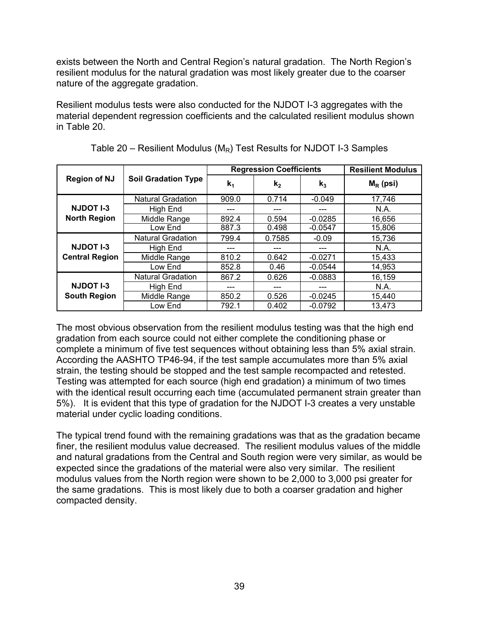exists between the North and Central Region's natural gradation. The North Region's resilient modulus for the natural gradation was most likely greater due to the coarser nature of the aggregate gradation.

Resilient modulus tests were also conducted for the NJDOT I-3 aggregates with the material dependent regression coefficients and the calculated resilient modulus shown in Table 20.

|                                           | <b>Soil Gradation Type</b> | <b>Regression Coefficients</b> |         |                | <b>Resilient Modulus</b> |
|-------------------------------------------|----------------------------|--------------------------------|---------|----------------|--------------------------|
| <b>Region of NJ</b>                       |                            | $\mathbf{k}_1$                 | $k_{2}$ | $\mathbf{k}_3$ | $M_R$ (psi)              |
| <b>NJDOT I-3</b><br><b>North Region</b>   | <b>Natural Gradation</b>   | 909.0                          | 0.714   | $-0.049$       | 17,746                   |
|                                           | High End                   |                                |         | ---            | N.A.                     |
|                                           | Middle Range               | 892.4                          | 0.594   | $-0.0285$      | 16,656                   |
|                                           | Low End                    | 887.3                          | 0.498   | $-0.0547$      | 15,806                   |
| <b>NJDOT I-3</b><br><b>Central Region</b> | <b>Natural Gradation</b>   | 799.4                          | 0.7585  | $-0.09$        | 15,736                   |
|                                           | High End                   |                                |         | ---            | N.A.                     |
|                                           | Middle Range               | 810.2                          | 0.642   | $-0.0271$      | 15,433                   |
|                                           | Low End                    | 852.8                          | 0.46    | $-0.0544$      | 14,953                   |
| <b>NJDOT I-3</b><br><b>South Region</b>   | <b>Natural Gradation</b>   | 867.2                          | 0.626   | $-0.0883$      | 16,159                   |
|                                           | High End                   |                                |         | ---            | N.A.                     |
|                                           | Middle Range               | 850.2                          | 0.526   | $-0.0245$      | 15,440                   |
|                                           | Low End                    | 792.1                          | 0.402   | $-0.0792$      | 13,473                   |

Table 20 – Resilient Modulus ( $M_R$ ) Test Results for NJDOT I-3 Samples

The most obvious observation from the resilient modulus testing was that the high end gradation from each source could not either complete the conditioning phase or complete a minimum of five test sequences without obtaining less than 5% axial strain. According the AASHTO TP46-94, if the test sample accumulates more than 5% axial strain, the testing should be stopped and the test sample recompacted and retested. Testing was attempted for each source (high end gradation) a minimum of two times with the identical result occurring each time (accumulated permanent strain greater than 5%). It is evident that this type of gradation for the NJDOT I-3 creates a very unstable material under cyclic loading conditions.

The typical trend found with the remaining gradations was that as the gradation became finer, the resilient modulus value decreased. The resilient modulus values of the middle and natural gradations from the Central and South region were very similar, as would be expected since the gradations of the material were also very similar. The resilient modulus values from the North region were shown to be 2,000 to 3,000 psi greater for the same gradations. This is most likely due to both a coarser gradation and higher compacted density.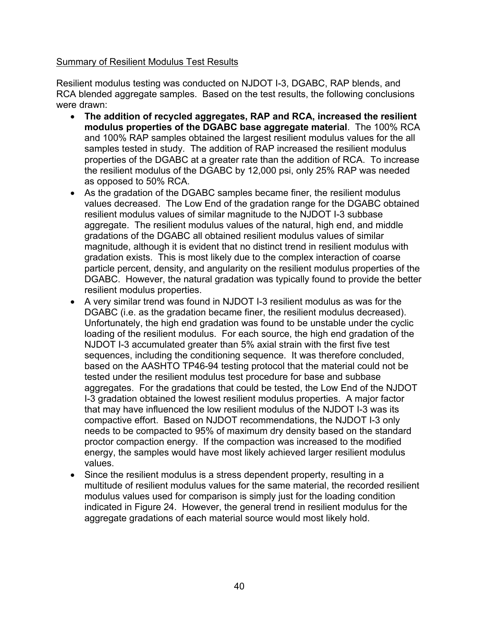### Summary of Resilient Modulus Test Results

Resilient modulus testing was conducted on NJDOT I-3, DGABC, RAP blends, and RCA blended aggregate samples. Based on the test results, the following conclusions were drawn:

- **The addition of recycled aggregates, RAP and RCA, increased the resilient modulus properties of the DGABC base aggregate material**. The 100% RCA and 100% RAP samples obtained the largest resilient modulus values for the all samples tested in study. The addition of RAP increased the resilient modulus properties of the DGABC at a greater rate than the addition of RCA. To increase the resilient modulus of the DGABC by 12,000 psi, only 25% RAP was needed as opposed to 50% RCA.
- As the gradation of the DGABC samples became finer, the resilient modulus values decreased. The Low End of the gradation range for the DGABC obtained resilient modulus values of similar magnitude to the NJDOT I-3 subbase aggregate. The resilient modulus values of the natural, high end, and middle gradations of the DGABC all obtained resilient modulus values of similar magnitude, although it is evident that no distinct trend in resilient modulus with gradation exists. This is most likely due to the complex interaction of coarse particle percent, density, and angularity on the resilient modulus properties of the DGABC. However, the natural gradation was typically found to provide the better resilient modulus properties.
- A very similar trend was found in NJDOT I-3 resilient modulus as was for the DGABC (i.e. as the gradation became finer, the resilient modulus decreased). Unfortunately, the high end gradation was found to be unstable under the cyclic loading of the resilient modulus. For each source, the high end gradation of the NJDOT I-3 accumulated greater than 5% axial strain with the first five test sequences, including the conditioning sequence. It was therefore concluded, based on the AASHTO TP46-94 testing protocol that the material could not be tested under the resilient modulus test procedure for base and subbase aggregates. For the gradations that could be tested, the Low End of the NJDOT I-3 gradation obtained the lowest resilient modulus properties. A major factor that may have influenced the low resilient modulus of the NJDOT I-3 was its compactive effort. Based on NJDOT recommendations, the NJDOT I-3 only needs to be compacted to 95% of maximum dry density based on the standard proctor compaction energy. If the compaction was increased to the modified energy, the samples would have most likely achieved larger resilient modulus values.
- Since the resilient modulus is a stress dependent property, resulting in a multitude of resilient modulus values for the same material, the recorded resilient modulus values used for comparison is simply just for the loading condition indicated in Figure 24. However, the general trend in resilient modulus for the aggregate gradations of each material source would most likely hold.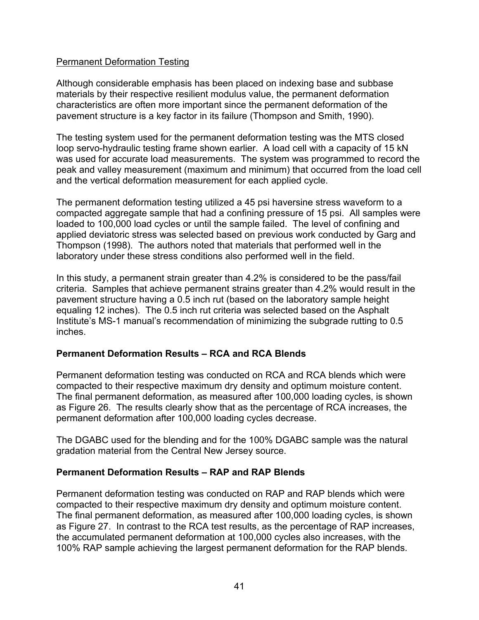### Permanent Deformation Testing

Although considerable emphasis has been placed on indexing base and subbase materials by their respective resilient modulus value, the permanent deformation characteristics are often more important since the permanent deformation of the pavement structure is a key factor in its failure (Thompson and Smith, 1990).

The testing system used for the permanent deformation testing was the MTS closed loop servo-hydraulic testing frame shown earlier. A load cell with a capacity of 15 kN was used for accurate load measurements. The system was programmed to record the peak and valley measurement (maximum and minimum) that occurred from the load cell and the vertical deformation measurement for each applied cycle.

The permanent deformation testing utilized a 45 psi haversine stress waveform to a compacted aggregate sample that had a confining pressure of 15 psi. All samples were loaded to 100,000 load cycles or until the sample failed. The level of confining and applied deviatoric stress was selected based on previous work conducted by Garg and Thompson (1998). The authors noted that materials that performed well in the laboratory under these stress conditions also performed well in the field.

In this study, a permanent strain greater than 4.2% is considered to be the pass/fail criteria. Samples that achieve permanent strains greater than 4.2% would result in the pavement structure having a 0.5 inch rut (based on the laboratory sample height equaling 12 inches). The 0.5 inch rut criteria was selected based on the Asphalt Institute's MS-1 manual's recommendation of minimizing the subgrade rutting to 0.5 inches.

### **Permanent Deformation Results – RCA and RCA Blends**

Permanent deformation testing was conducted on RCA and RCA blends which were compacted to their respective maximum dry density and optimum moisture content. The final permanent deformation, as measured after 100,000 loading cycles, is shown as Figure 26. The results clearly show that as the percentage of RCA increases, the permanent deformation after 100,000 loading cycles decrease.

The DGABC used for the blending and for the 100% DGABC sample was the natural gradation material from the Central New Jersey source.

### **Permanent Deformation Results – RAP and RAP Blends**

Permanent deformation testing was conducted on RAP and RAP blends which were compacted to their respective maximum dry density and optimum moisture content. The final permanent deformation, as measured after 100,000 loading cycles, is shown as Figure 27. In contrast to the RCA test results, as the percentage of RAP increases, the accumulated permanent deformation at 100,000 cycles also increases, with the 100% RAP sample achieving the largest permanent deformation for the RAP blends.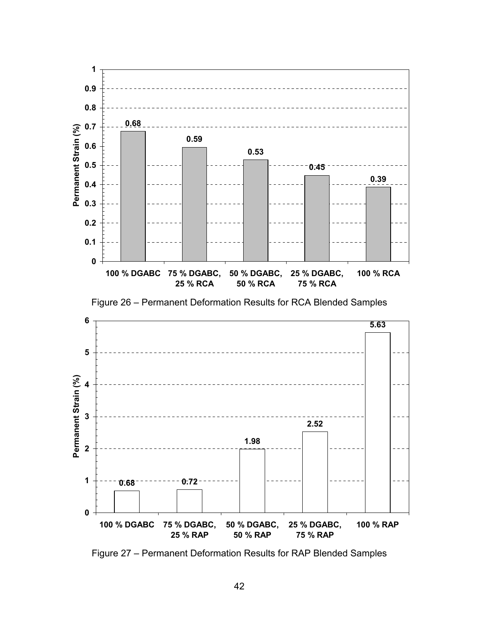

Figure 27 – Permanent Deformation Results for RAP Blended Samples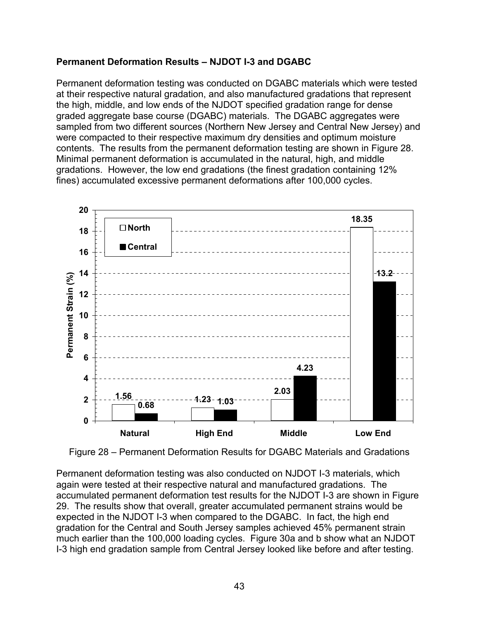# **Permanent Deformation Results – NJDOT I-3 and DGABC**

Permanent deformation testing was conducted on DGABC materials which were tested at their respective natural gradation, and also manufactured gradations that represent the high, middle, and low ends of the NJDOT specified gradation range for dense graded aggregate base course (DGABC) materials. The DGABC aggregates were sampled from two different sources (Northern New Jersey and Central New Jersey) and were compacted to their respective maximum dry densities and optimum moisture contents. The results from the permanent deformation testing are shown in Figure 28. Minimal permanent deformation is accumulated in the natural, high, and middle gradations. However, the low end gradations (the finest gradation containing 12% fines) accumulated excessive permanent deformations after 100,000 cycles.



Figure 28 – Permanent Deformation Results for DGABC Materials and Gradations

Permanent deformation testing was also conducted on NJDOT I-3 materials, which again were tested at their respective natural and manufactured gradations. The accumulated permanent deformation test results for the NJDOT I-3 are shown in Figure 29. The results show that overall, greater accumulated permanent strains would be expected in the NJDOT I-3 when compared to the DGABC. In fact, the high end gradation for the Central and South Jersey samples achieved 45% permanent strain much earlier than the 100,000 loading cycles. Figure 30a and b show what an NJDOT I-3 high end gradation sample from Central Jersey looked like before and after testing.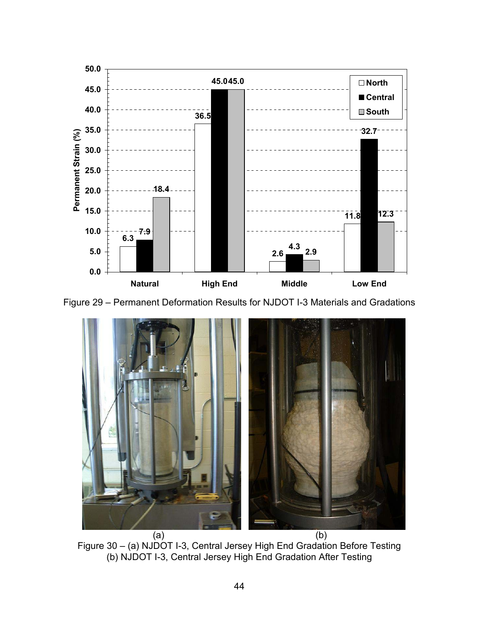

Figure 29 – Permanent Deformation Results for NJDOT I-3 Materials and Gradations



Figure 30 – (a) NJDOT I-3, Central Jersey High End Gradation Before Testing (b) NJDOT I-3, Central Jersey High End Gradation After Testing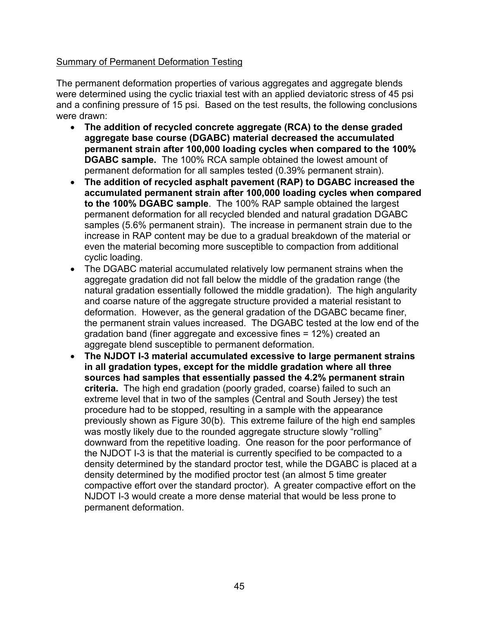# Summary of Permanent Deformation Testing

The permanent deformation properties of various aggregates and aggregate blends were determined using the cyclic triaxial test with an applied deviatoric stress of 45 psi and a confining pressure of 15 psi. Based on the test results, the following conclusions were drawn:

- **The addition of recycled concrete aggregate (RCA) to the dense graded aggregate base course (DGABC) material decreased the accumulated permanent strain after 100,000 loading cycles when compared to the 100% DGABC sample.** The 100% RCA sample obtained the lowest amount of permanent deformation for all samples tested (0.39% permanent strain).
- **The addition of recycled asphalt pavement (RAP) to DGABC increased the accumulated permanent strain after 100,000 loading cycles when compared to the 100% DGABC sample**. The 100% RAP sample obtained the largest permanent deformation for all recycled blended and natural gradation DGABC samples (5.6% permanent strain). The increase in permanent strain due to the increase in RAP content may be due to a gradual breakdown of the material or even the material becoming more susceptible to compaction from additional cyclic loading.
- The DGABC material accumulated relatively low permanent strains when the aggregate gradation did not fall below the middle of the gradation range (the natural gradation essentially followed the middle gradation). The high angularity and coarse nature of the aggregate structure provided a material resistant to deformation. However, as the general gradation of the DGABC became finer, the permanent strain values increased. The DGABC tested at the low end of the gradation band (finer aggregate and excessive fines = 12%) created an aggregate blend susceptible to permanent deformation.
- **The NJDOT I-3 material accumulated excessive to large permanent strains in all gradation types, except for the middle gradation where all three sources had samples that essentially passed the 4.2% permanent strain criteria.** The high end gradation (poorly graded, coarse) failed to such an extreme level that in two of the samples (Central and South Jersey) the test procedure had to be stopped, resulting in a sample with the appearance previously shown as Figure 30(b). This extreme failure of the high end samples was mostly likely due to the rounded aggregate structure slowly "rolling" downward from the repetitive loading. One reason for the poor performance of the NJDOT I-3 is that the material is currently specified to be compacted to a density determined by the standard proctor test, while the DGABC is placed at a density determined by the modified proctor test (an almost 5 time greater compactive effort over the standard proctor). A greater compactive effort on the NJDOT I-3 would create a more dense material that would be less prone to permanent deformation.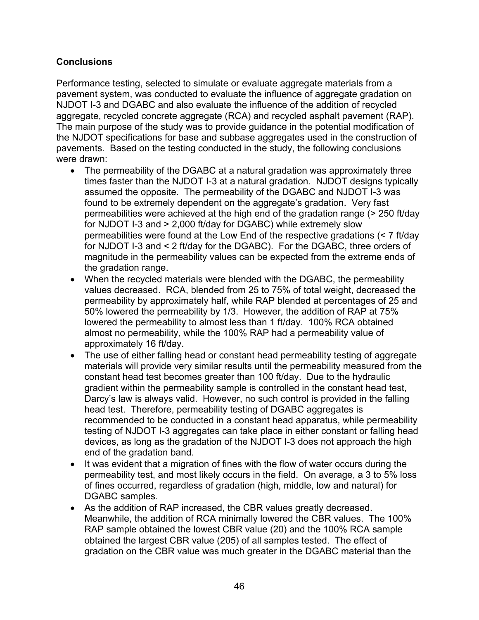# **Conclusions**

Performance testing, selected to simulate or evaluate aggregate materials from a pavement system, was conducted to evaluate the influence of aggregate gradation on NJDOT I-3 and DGABC and also evaluate the influence of the addition of recycled aggregate, recycled concrete aggregate (RCA) and recycled asphalt pavement (RAP). The main purpose of the study was to provide guidance in the potential modification of the NJDOT specifications for base and subbase aggregates used in the construction of pavements. Based on the testing conducted in the study, the following conclusions were drawn:

- The permeability of the DGABC at a natural gradation was approximately three times faster than the NJDOT I-3 at a natural gradation. NJDOT designs typically assumed the opposite. The permeability of the DGABC and NJDOT I-3 was found to be extremely dependent on the aggregate's gradation. Very fast permeabilities were achieved at the high end of the gradation range (> 250 ft/day for NJDOT I-3 and > 2,000 ft/day for DGABC) while extremely slow permeabilities were found at the Low End of the respective gradations (< 7 ft/day for NJDOT I-3 and < 2 ft/day for the DGABC). For the DGABC, three orders of magnitude in the permeability values can be expected from the extreme ends of the gradation range.
- When the recycled materials were blended with the DGABC, the permeability values decreased. RCA, blended from 25 to 75% of total weight, decreased the permeability by approximately half, while RAP blended at percentages of 25 and 50% lowered the permeability by 1/3. However, the addition of RAP at 75% lowered the permeability to almost less than 1 ft/day. 100% RCA obtained almost no permeability, while the 100% RAP had a permeability value of approximately 16 ft/day.
- The use of either falling head or constant head permeability testing of aggregate materials will provide very similar results until the permeability measured from the constant head test becomes greater than 100 ft/day. Due to the hydraulic gradient within the permeability sample is controlled in the constant head test, Darcy's law is always valid. However, no such control is provided in the falling head test. Therefore, permeability testing of DGABC aggregates is recommended to be conducted in a constant head apparatus, while permeability testing of NJDOT I-3 aggregates can take place in either constant or falling head devices, as long as the gradation of the NJDOT I-3 does not approach the high end of the gradation band.
- It was evident that a migration of fines with the flow of water occurs during the permeability test, and most likely occurs in the field. On average, a 3 to 5% loss of fines occurred, regardless of gradation (high, middle, low and natural) for DGABC samples.
- As the addition of RAP increased, the CBR values greatly decreased. Meanwhile, the addition of RCA minimally lowered the CBR values. The 100% RAP sample obtained the lowest CBR value (20) and the 100% RCA sample obtained the largest CBR value (205) of all samples tested. The effect of gradation on the CBR value was much greater in the DGABC material than the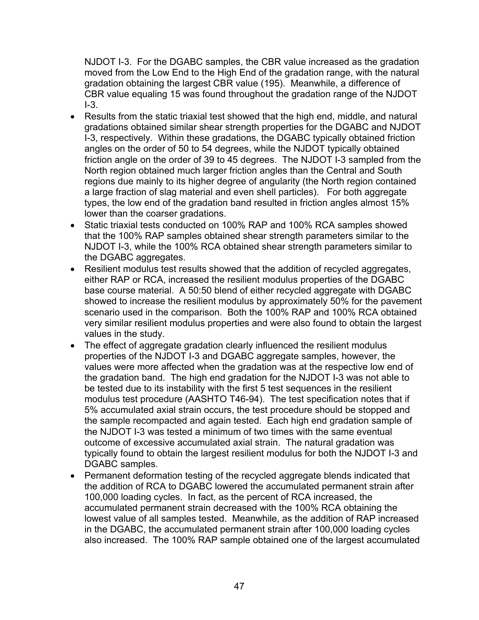NJDOT I-3. For the DGABC samples, the CBR value increased as the gradation moved from the Low End to the High End of the gradation range, with the natural gradation obtaining the largest CBR value (195). Meanwhile, a difference of CBR value equaling 15 was found throughout the gradation range of the NJDOT  $I-3$ .

- Results from the static triaxial test showed that the high end, middle, and natural gradations obtained similar shear strength properties for the DGABC and NJDOT I-3, respectively. Within these gradations, the DGABC typically obtained friction angles on the order of 50 to 54 degrees, while the NJDOT typically obtained friction angle on the order of 39 to 45 degrees. The NJDOT I-3 sampled from the North region obtained much larger friction angles than the Central and South regions due mainly to its higher degree of angularity (the North region contained a large fraction of slag material and even shell particles). For both aggregate types, the low end of the gradation band resulted in friction angles almost 15% lower than the coarser gradations.
- Static triaxial tests conducted on 100% RAP and 100% RCA samples showed that the 100% RAP samples obtained shear strength parameters similar to the NJDOT I-3, while the 100% RCA obtained shear strength parameters similar to the DGABC aggregates.
- Resilient modulus test results showed that the addition of recycled aggregates, either RAP or RCA, increased the resilient modulus properties of the DGABC base course material. A 50:50 blend of either recycled aggregate with DGABC showed to increase the resilient modulus by approximately 50% for the pavement scenario used in the comparison. Both the 100% RAP and 100% RCA obtained very similar resilient modulus properties and were also found to obtain the largest values in the study.
- The effect of aggregate gradation clearly influenced the resilient modulus properties of the NJDOT I-3 and DGABC aggregate samples, however, the values were more affected when the gradation was at the respective low end of the gradation band. The high end gradation for the NJDOT I-3 was not able to be tested due to its instability with the first 5 test sequences in the resilient modulus test procedure (AASHTO T46-94). The test specification notes that if 5% accumulated axial strain occurs, the test procedure should be stopped and the sample recompacted and again tested. Each high end gradation sample of the NJDOT I-3 was tested a minimum of two times with the same eventual outcome of excessive accumulated axial strain. The natural gradation was typically found to obtain the largest resilient modulus for both the NJDOT I-3 and DGABC samples.
- Permanent deformation testing of the recycled aggregate blends indicated that the addition of RCA to DGABC lowered the accumulated permanent strain after 100,000 loading cycles. In fact, as the percent of RCA increased, the accumulated permanent strain decreased with the 100% RCA obtaining the lowest value of all samples tested. Meanwhile, as the addition of RAP increased in the DGABC, the accumulated permanent strain after 100,000 loading cycles also increased. The 100% RAP sample obtained one of the largest accumulated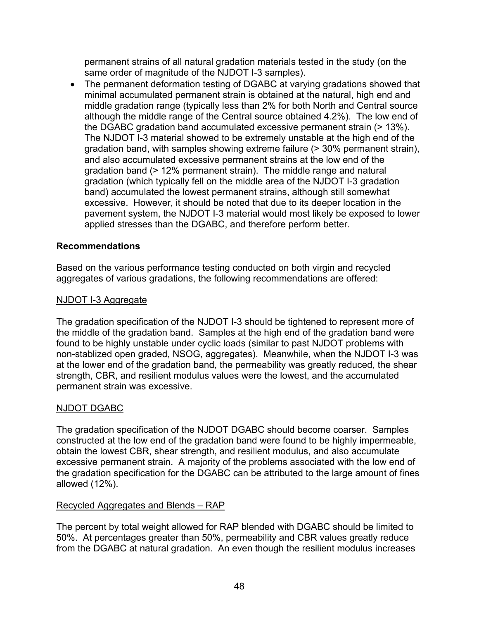permanent strains of all natural gradation materials tested in the study (on the same order of magnitude of the NJDOT I-3 samples).

• The permanent deformation testing of DGABC at varying gradations showed that minimal accumulated permanent strain is obtained at the natural, high end and middle gradation range (typically less than 2% for both North and Central source although the middle range of the Central source obtained 4.2%). The low end of the DGABC gradation band accumulated excessive permanent strain (> 13%). The NJDOT I-3 material showed to be extremely unstable at the high end of the gradation band, with samples showing extreme failure (> 30% permanent strain), and also accumulated excessive permanent strains at the low end of the gradation band (> 12% permanent strain). The middle range and natural gradation (which typically fell on the middle area of the NJDOT I-3 gradation band) accumulated the lowest permanent strains, although still somewhat excessive. However, it should be noted that due to its deeper location in the pavement system, the NJDOT I-3 material would most likely be exposed to lower applied stresses than the DGABC, and therefore perform better.

# **Recommendations**

Based on the various performance testing conducted on both virgin and recycled aggregates of various gradations, the following recommendations are offered:

# NJDOT I-3 Aggregate

The gradation specification of the NJDOT I-3 should be tightened to represent more of the middle of the gradation band. Samples at the high end of the gradation band were found to be highly unstable under cyclic loads (similar to past NJDOT problems with non-stablized open graded, NSOG, aggregates). Meanwhile, when the NJDOT I-3 was at the lower end of the gradation band, the permeability was greatly reduced, the shear strength, CBR, and resilient modulus values were the lowest, and the accumulated permanent strain was excessive.

# NJDOT DGABC

The gradation specification of the NJDOT DGABC should become coarser. Samples constructed at the low end of the gradation band were found to be highly impermeable, obtain the lowest CBR, shear strength, and resilient modulus, and also accumulate excessive permanent strain. A majority of the problems associated with the low end of the gradation specification for the DGABC can be attributed to the large amount of fines allowed (12%).

# Recycled Aggregates and Blends – RAP

The percent by total weight allowed for RAP blended with DGABC should be limited to 50%. At percentages greater than 50%, permeability and CBR values greatly reduce from the DGABC at natural gradation. An even though the resilient modulus increases